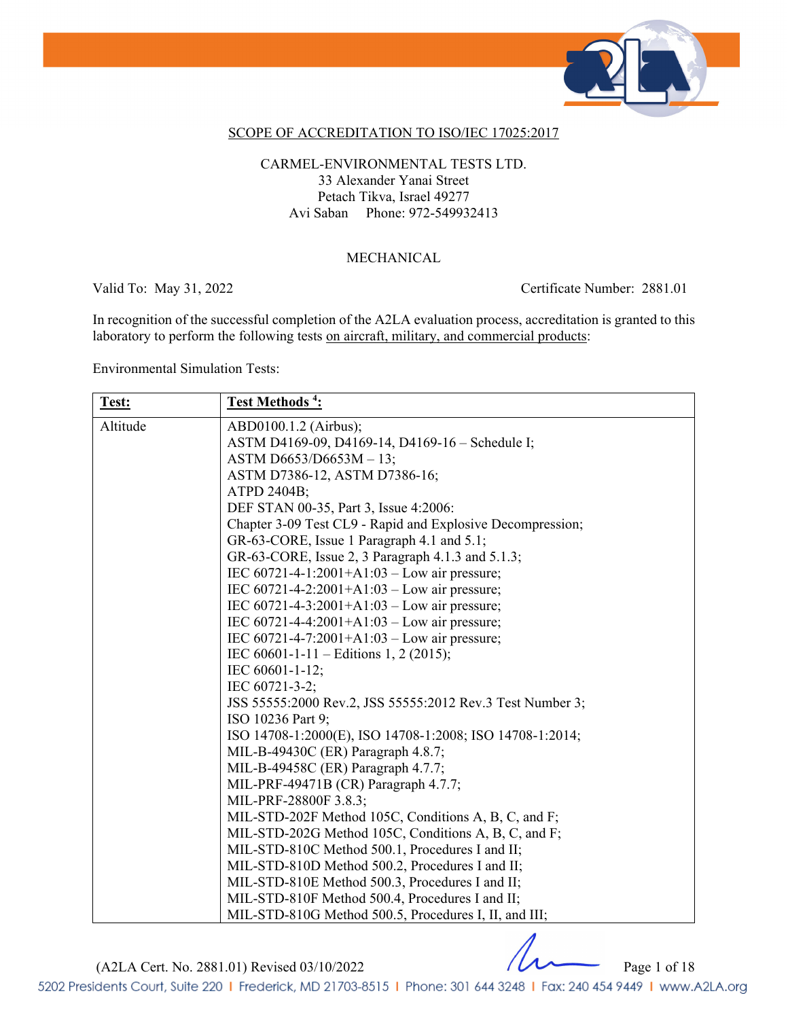

### SCOPE OF ACCREDITATION TO ISO/IEC 17025:2017

CARMEL-ENVIRONMENTAL TESTS LTD. 33 Alexander Yanai Street Petach Tikva, Israel 49277 Avi Saban Phone: 972-549932413

#### MECHANICAL

Valid To: May 31, 2022 Certificate Number: 2881.01

In recognition of the successful completion of the A2LA evaluation process, accreditation is granted to this laboratory to perform the following tests <u>on aircraft, military, and commercial products</u>:

Environmental Simulation Tests:

| Test:    | Test Methods <sup>4</sup> :                                |
|----------|------------------------------------------------------------|
| Altitude | ABD0100.1.2 (Airbus);                                      |
|          | ASTM D4169-09, D4169-14, D4169-16 - Schedule I;            |
|          | ASTM D6653/D6653M - 13;                                    |
|          | ASTM D7386-12, ASTM D7386-16;                              |
|          | ATPD 2404B;                                                |
|          | DEF STAN 00-35, Part 3, Issue 4:2006:                      |
|          | Chapter 3-09 Test CL9 - Rapid and Explosive Decompression; |
|          | GR-63-CORE, Issue 1 Paragraph 4.1 and 5.1;                 |
|          | GR-63-CORE, Issue 2, 3 Paragraph 4.1.3 and 5.1.3;          |
|          | IEC 60721-4-1:2001+A1:03 - Low air pressure;               |
|          | IEC $60721 - 4 - 2:2001 + A1:03 - Low air pressure$ ;      |
|          | IEC $60721 - 4 - 3:2001 + A1:03 - Low air pressure$ ;      |
|          | IEC $60721 - 4 - 4:2001 + A1:03 - Low air pressure$ ;      |
|          | IEC $60721 - 4 - 7:2001 + A1:03 - Low air pressure$ ;      |
|          | IEC 60601-1-11 – Editions 1, 2 (2015);                     |
|          | IEC 60601-1-12;                                            |
|          | IEC 60721-3-2;                                             |
|          | JSS 55555:2000 Rev.2, JSS 55555:2012 Rev.3 Test Number 3;  |
|          | ISO 10236 Part 9;                                          |
|          | ISO 14708-1:2000(E), ISO 14708-1:2008; ISO 14708-1:2014;   |
|          | MIL-B-49430C (ER) Paragraph 4.8.7;                         |
|          | MIL-B-49458C (ER) Paragraph 4.7.7;                         |
|          | MIL-PRF-49471B (CR) Paragraph 4.7.7;                       |
|          | MIL-PRF-28800F 3.8.3;                                      |
|          | MIL-STD-202F Method 105C, Conditions A, B, C, and F;       |
|          | MIL-STD-202G Method 105C, Conditions A, B, C, and F;       |
|          | MIL-STD-810C Method 500.1, Procedures I and II;            |
|          | MIL-STD-810D Method 500.2, Procedures I and II;            |
|          | MIL-STD-810E Method 500.3, Procedures I and II;            |
|          | MIL-STD-810F Method 500.4, Procedures I and II;            |
|          | MIL-STD-810G Method 500.5, Procedures I, II, and III;      |

(A2LA Cert. No. 2881.01) Revised 03/10/2022 Page 1 of 18

5202 Presidents Court, Suite 220 | Frederick, MD 21703-8515 | Phone: 301 644 3248 | Fax: 240 454 9449 | www.A2LA.org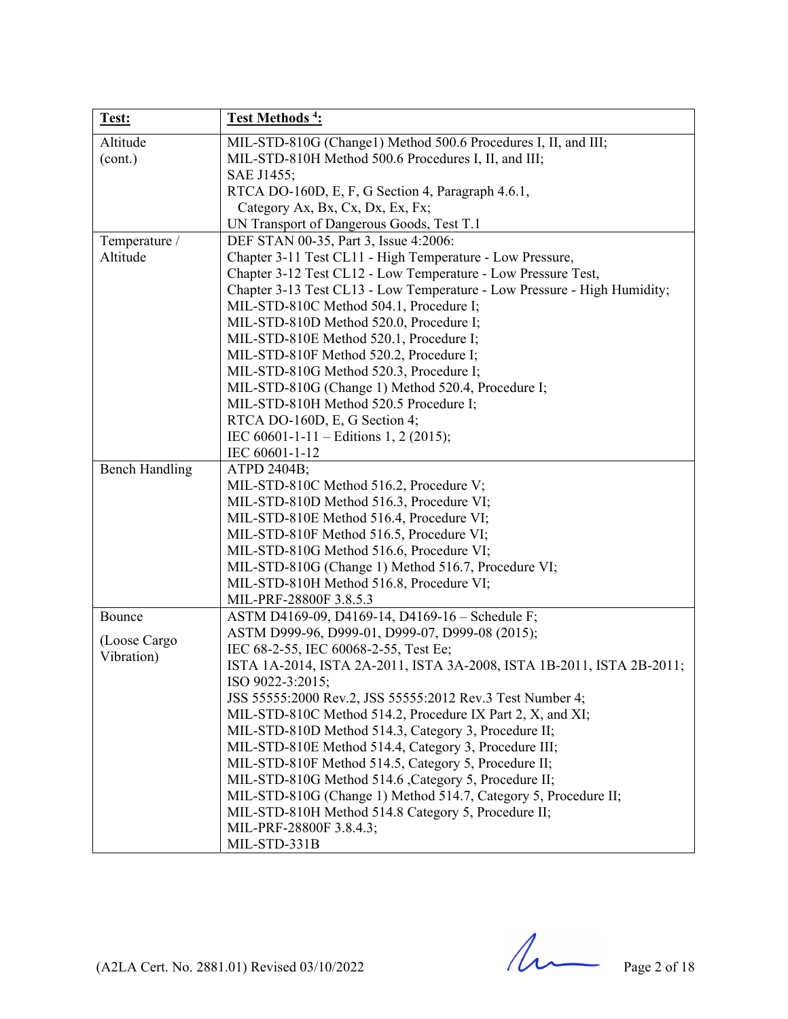| Test:                 | Test Methods <sup>4</sup> :                                                                                        |
|-----------------------|--------------------------------------------------------------------------------------------------------------------|
| Altitude              | MIL-STD-810G (Change1) Method 500.6 Procedures I, II, and III;                                                     |
| (cont.)               | MIL-STD-810H Method 500.6 Procedures I, II, and III;                                                               |
|                       | SAE J1455;                                                                                                         |
|                       | RTCA DO-160D, E, F, G Section 4, Paragraph 4.6.1,                                                                  |
|                       | Category Ax, Bx, Cx, Dx, Ex, Fx;                                                                                   |
|                       | UN Transport of Dangerous Goods, Test T.1                                                                          |
| Temperature /         | DEF STAN 00-35, Part 3, Issue 4:2006:                                                                              |
| Altitude              | Chapter 3-11 Test CL11 - High Temperature - Low Pressure,                                                          |
|                       | Chapter 3-12 Test CL12 - Low Temperature - Low Pressure Test,                                                      |
|                       | Chapter 3-13 Test CL13 - Low Temperature - Low Pressure - High Humidity;                                           |
|                       | MIL-STD-810C Method 504.1, Procedure I;                                                                            |
|                       | MIL-STD-810D Method 520.0, Procedure I;                                                                            |
|                       | MIL-STD-810E Method 520.1, Procedure I;                                                                            |
|                       | MIL-STD-810F Method 520.2, Procedure I;                                                                            |
|                       | MIL-STD-810G Method 520.3, Procedure I;                                                                            |
|                       | MIL-STD-810G (Change 1) Method 520.4, Procedure I;                                                                 |
|                       | MIL-STD-810H Method 520.5 Procedure I;                                                                             |
|                       | RTCA DO-160D, E, G Section 4;                                                                                      |
|                       | IEC 60601-1-11 - Editions 1, 2 (2015);                                                                             |
|                       | IEC 60601-1-12                                                                                                     |
| <b>Bench Handling</b> | ATPD 2404B;                                                                                                        |
|                       | MIL-STD-810C Method 516.2, Procedure V;                                                                            |
|                       | MIL-STD-810D Method 516.3, Procedure VI;                                                                           |
|                       | MIL-STD-810E Method 516.4, Procedure VI;                                                                           |
|                       | MIL-STD-810F Method 516.5, Procedure VI;                                                                           |
|                       | MIL-STD-810G Method 516.6, Procedure VI;                                                                           |
|                       | MIL-STD-810G (Change 1) Method 516.7, Procedure VI;                                                                |
|                       | MIL-STD-810H Method 516.8, Procedure VI;                                                                           |
|                       | MIL-PRF-28800F 3.8.5.3                                                                                             |
| Bounce                | ASTM D4169-09, D4169-14, D4169-16 - Schedule F;                                                                    |
| (Loose Cargo          | ASTM D999-96, D999-01, D999-07, D999-08 (2015);                                                                    |
| Vibration)            | IEC 68-2-55, IEC 60068-2-55, Test Ee;                                                                              |
|                       | ISTA 1A-2014, ISTA 2A-2011, ISTA 3A-2008, ISTA 1B-2011, ISTA 2B-2011;                                              |
|                       | ISO 9022-3:2015;                                                                                                   |
|                       | JSS 55555:2000 Rev.2, JSS 55555:2012 Rev.3 Test Number 4;                                                          |
|                       | MIL-STD-810C Method 514.2, Procedure IX Part 2, X, and XI;<br>MIL-STD-810D Method 514.3, Category 3, Procedure II; |
|                       | MIL-STD-810E Method 514.4, Category 3, Procedure III;                                                              |
|                       | MIL-STD-810F Method 514.5, Category 5, Procedure II;                                                               |
|                       | MIL-STD-810G Method 514.6 , Category 5, Procedure II;                                                              |
|                       | MIL-STD-810G (Change 1) Method 514.7, Category 5, Procedure II;                                                    |
|                       | MIL-STD-810H Method 514.8 Category 5, Procedure II;                                                                |
|                       | MIL-PRF-28800F 3.8.4.3;                                                                                            |
|                       | MIL-STD-331B                                                                                                       |

(A2LA Cert. No. 2881.01) Revised 03/10/2022 Page 2 of 18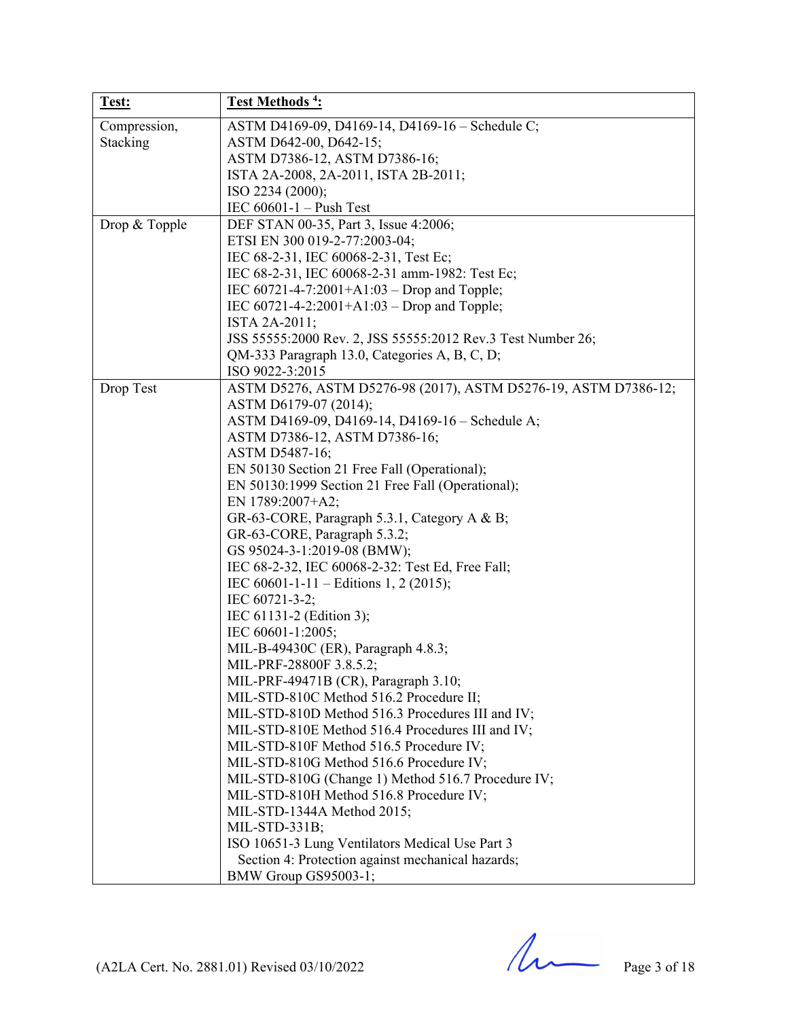| Test:         | Test Methods <sup>4</sup> :                                                                          |
|---------------|------------------------------------------------------------------------------------------------------|
| Compression,  | ASTM D4169-09, D4169-14, D4169-16 - Schedule C;                                                      |
| Stacking      | ASTM D642-00, D642-15;                                                                               |
|               | ASTM D7386-12, ASTM D7386-16;                                                                        |
|               | ISTA 2A-2008, 2A-2011, ISTA 2B-2011;                                                                 |
|               | ISO 2234 (2000);                                                                                     |
|               | IEC $60601-1$ – Push Test                                                                            |
| Drop & Topple | DEF STAN 00-35, Part 3, Issue 4:2006;                                                                |
|               | ETSI EN 300 019-2-77:2003-04;                                                                        |
|               | IEC 68-2-31, IEC 60068-2-31, Test Ec;                                                                |
|               | IEC 68-2-31, IEC 60068-2-31 amm-1982: Test Ec;                                                       |
|               | IEC 60721-4-7:2001+A1:03 – Drop and Topple;                                                          |
|               | IEC $60721 - 4 - 2:2001 + A1:03 - Drop$ and Topple;                                                  |
|               | ISTA 2A-2011;                                                                                        |
|               | JSS 55555:2000 Rev. 2, JSS 55555:2012 Rev.3 Test Number 26;                                          |
|               | QM-333 Paragraph 13.0, Categories A, B, C, D;                                                        |
|               | ISO 9022-3:2015                                                                                      |
| Drop Test     | ASTM D5276, ASTM D5276-98 (2017), ASTM D5276-19, ASTM D7386-12;                                      |
|               | ASTM D6179-07 (2014);                                                                                |
|               | ASTM D4169-09, D4169-14, D4169-16 - Schedule A;                                                      |
|               | ASTM D7386-12, ASTM D7386-16;                                                                        |
|               | ASTM D5487-16;                                                                                       |
|               | EN 50130 Section 21 Free Fall (Operational);                                                         |
|               | EN 50130:1999 Section 21 Free Fall (Operational);                                                    |
|               | EN 1789:2007+A2;                                                                                     |
|               | GR-63-CORE, Paragraph 5.3.1, Category A & B;                                                         |
|               | GR-63-CORE, Paragraph 5.3.2;                                                                         |
|               | GS 95024-3-1:2019-08 (BMW);                                                                          |
|               | IEC 68-2-32, IEC 60068-2-32: Test Ed, Free Fall;                                                     |
|               | IEC 60601-1-11 – Editions 1, 2 (2015);                                                               |
|               | IEC 60721-3-2;                                                                                       |
|               | IEC 61131-2 (Edition 3);                                                                             |
|               | IEC 60601-1:2005;                                                                                    |
|               | MIL-B-49430C (ER), Paragraph 4.8.3;                                                                  |
|               | MIL-PRF-28800F 3.8.5.2;                                                                              |
|               | MIL-PRF-49471B (CR), Paragraph 3.10;                                                                 |
|               | MIL-STD-810C Method 516.2 Procedure II;                                                              |
|               | MIL-STD-810D Method 516.3 Procedures III and IV;                                                     |
|               | MIL-STD-810E Method 516.4 Procedures III and IV;                                                     |
|               | MIL-STD-810F Method 516.5 Procedure IV;                                                              |
|               | MIL-STD-810G Method 516.6 Procedure IV;                                                              |
|               | MIL-STD-810G (Change 1) Method 516.7 Procedure IV;                                                   |
|               | MIL-STD-810H Method 516.8 Procedure IV;                                                              |
|               | MIL-STD-1344A Method 2015;                                                                           |
|               | MIL-STD-331B;                                                                                        |
|               | ISO 10651-3 Lung Ventilators Medical Use Part 3<br>Section 4: Protection against mechanical hazards; |
|               |                                                                                                      |
|               | BMW Group GS95003-1;                                                                                 |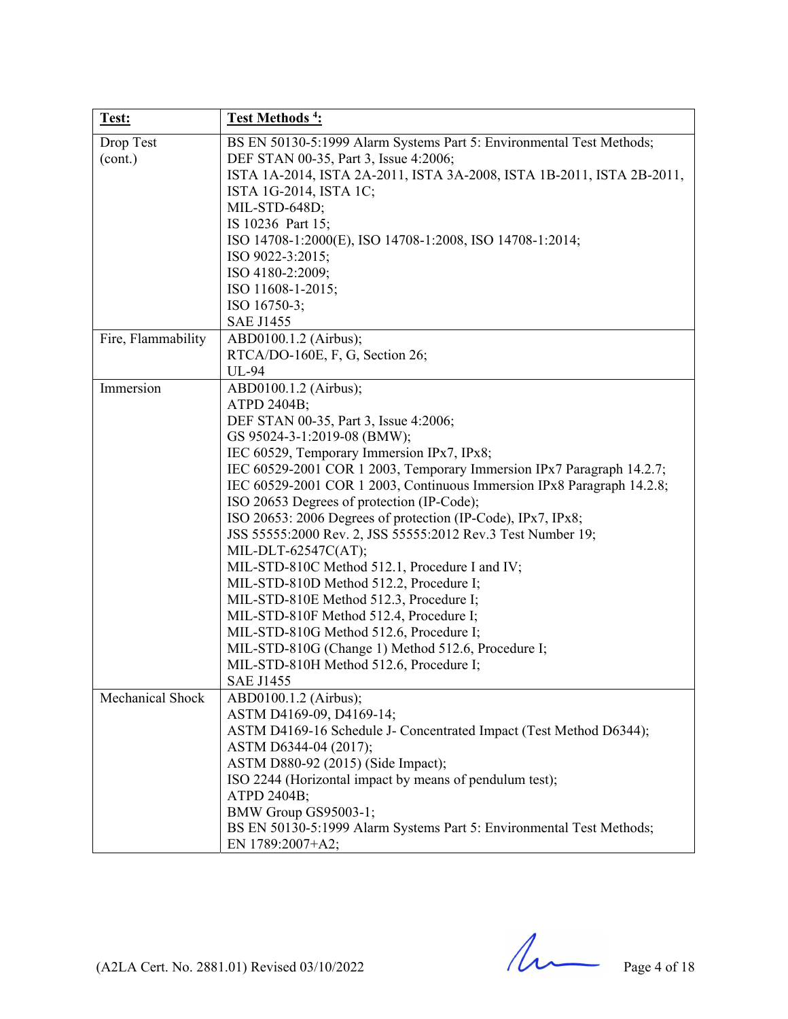| Test:              | Test Methods <sup>4</sup> :                                            |
|--------------------|------------------------------------------------------------------------|
| Drop Test          | BS EN 50130-5:1999 Alarm Systems Part 5: Environmental Test Methods;   |
| (cont.)            | DEF STAN 00-35, Part 3, Issue 4:2006;                                  |
|                    | ISTA 1A-2014, ISTA 2A-2011, ISTA 3A-2008, ISTA 1B-2011, ISTA 2B-2011,  |
|                    | ISTA 1G-2014, ISTA 1C;                                                 |
|                    | MIL-STD-648D;                                                          |
|                    | IS 10236 Part 15;                                                      |
|                    | ISO 14708-1:2000(E), ISO 14708-1:2008, ISO 14708-1:2014;               |
|                    | ISO 9022-3:2015;                                                       |
|                    | ISO 4180-2:2009;                                                       |
|                    | ISO 11608-1-2015;                                                      |
|                    | ISO 16750-3;                                                           |
|                    | <b>SAE J1455</b>                                                       |
| Fire, Flammability | ABD0100.1.2 (Airbus);                                                  |
|                    | RTCA/DO-160E, F, G, Section 26;                                        |
|                    | UL-94                                                                  |
| Immersion          | ABD0100.1.2 (Airbus);                                                  |
|                    | ATPD 2404B;                                                            |
|                    | DEF STAN 00-35, Part 3, Issue 4:2006;                                  |
|                    | GS 95024-3-1:2019-08 (BMW);                                            |
|                    | IEC 60529, Temporary Immersion IPx7, IPx8;                             |
|                    | IEC 60529-2001 COR 1 2003, Temporary Immersion IPx7 Paragraph 14.2.7;  |
|                    | IEC 60529-2001 COR 1 2003, Continuous Immersion IPx8 Paragraph 14.2.8; |
|                    | ISO 20653 Degrees of protection (IP-Code);                             |
|                    | ISO 20653: 2006 Degrees of protection (IP-Code), IPx7, IPx8;           |
|                    | JSS 55555:2000 Rev. 2, JSS 55555:2012 Rev.3 Test Number 19;            |
|                    | MIL-DLT-62547C(AT);                                                    |
|                    | MIL-STD-810C Method 512.1, Procedure I and IV;                         |
|                    | MIL-STD-810D Method 512.2, Procedure I;                                |
|                    | MIL-STD-810E Method 512.3, Procedure I;                                |
|                    | MIL-STD-810F Method 512.4, Procedure I;                                |
|                    | MIL-STD-810G Method 512.6, Procedure I;                                |
|                    | MIL-STD-810G (Change 1) Method 512.6, Procedure I;                     |
|                    | MIL-STD-810H Method 512.6, Procedure I;                                |
|                    | SAE J1455                                                              |
| Mechanical Shock   | ABD0100.1.2 (Airbus);                                                  |
|                    | ASTM D4169-09, D4169-14;                                               |
|                    | ASTM D4169-16 Schedule J- Concentrated Impact (Test Method D6344);     |
|                    | ASTM D6344-04 (2017);<br>ASTM D880-92 (2015) (Side Impact);            |
|                    |                                                                        |
|                    | ISO 2244 (Horizontal impact by means of pendulum test);<br>ATPD 2404B; |
|                    | BMW Group GS95003-1;                                                   |
|                    | BS EN 50130-5:1999 Alarm Systems Part 5: Environmental Test Methods;   |
|                    | EN 1789:2007+A2;                                                       |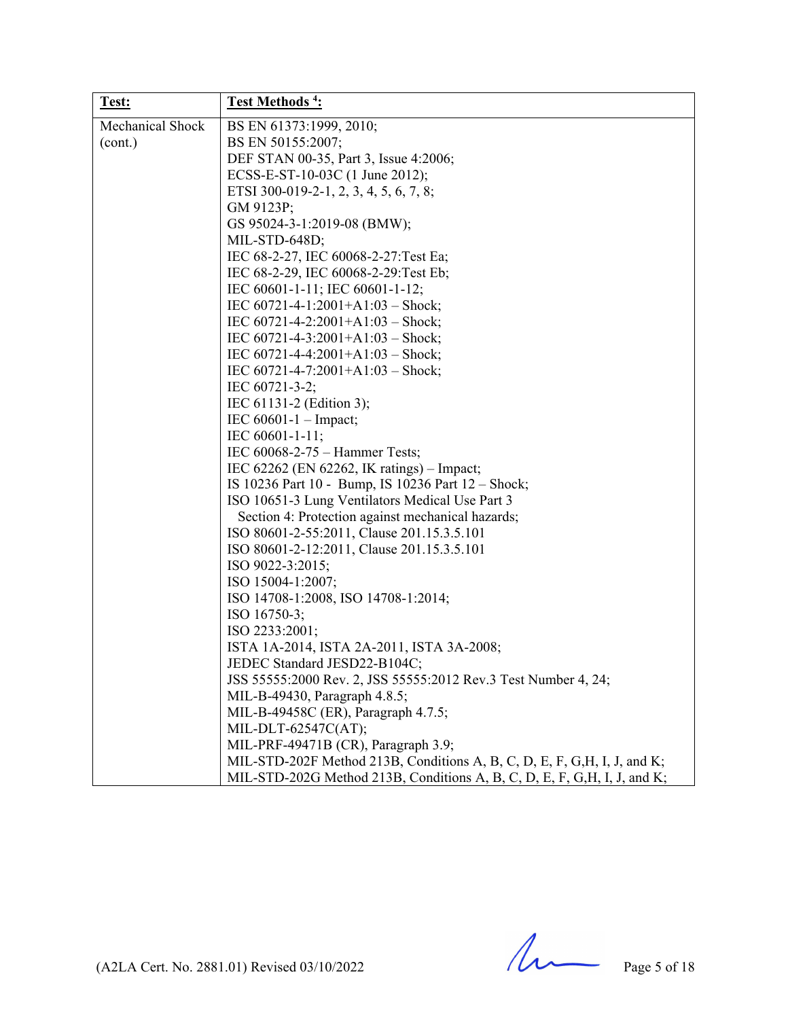| Test:                   | <b>Test Methods<sup>4</sup></b> :                                         |
|-------------------------|---------------------------------------------------------------------------|
| <b>Mechanical Shock</b> | BS EN 61373:1999, 2010;                                                   |
| (cont.)                 | BS EN 50155:2007;                                                         |
|                         | DEF STAN 00-35, Part 3, Issue 4:2006;                                     |
|                         | ECSS-E-ST-10-03C (1 June 2012);                                           |
|                         | ETSI 300-019-2-1, 2, 3, 4, 5, 6, 7, 8;                                    |
|                         | GM 9123P;                                                                 |
|                         | GS 95024-3-1:2019-08 (BMW);                                               |
|                         | MIL-STD-648D;                                                             |
|                         | IEC 68-2-27, IEC 60068-2-27: Test Ea;                                     |
|                         | IEC 68-2-29, IEC 60068-2-29: Test Eb;                                     |
|                         | IEC 60601-1-11; IEC 60601-1-12;                                           |
|                         | IEC 60721-4-1:2001+A1:03 - Shock;                                         |
|                         | IEC $60721 - 4 - 2:2001 + A1:03 - Shock;$                                 |
|                         | IEC $60721 - 4 - 3:2001 + A1:03 -}$ Shock;                                |
|                         | IEC $60721 - 4 - 4:2001 + A1:03 - Shock;$                                 |
|                         | IEC $60721 - 4 - 7:2001 + A1:03 - Shock;$                                 |
|                         | IEC 60721-3-2;                                                            |
|                         | IEC 61131-2 (Edition 3);                                                  |
|                         | IEC $60601 - 1$ – Impact;                                                 |
|                         | IEC 60601-1-11;                                                           |
|                         | IEC 60068-2-75 – Hammer Tests;                                            |
|                         | IEC 62262 (EN 62262, IK ratings) – Impact;                                |
|                         | IS 10236 Part 10 - Bump, IS 10236 Part 12 - Shock;                        |
|                         | ISO 10651-3 Lung Ventilators Medical Use Part 3                           |
|                         | Section 4: Protection against mechanical hazards;                         |
|                         | ISO 80601-2-55:2011, Clause 201.15.3.5.101                                |
|                         | ISO 80601-2-12:2011, Clause 201.15.3.5.101                                |
|                         | ISO 9022-3:2015;                                                          |
|                         | ISO 15004-1:2007;                                                         |
|                         | ISO 14708-1:2008, ISO 14708-1:2014;                                       |
|                         | ISO 16750-3;                                                              |
|                         | ISO 2233:2001;                                                            |
|                         | ISTA 1A-2014, ISTA 2A-2011, ISTA 3A-2008;                                 |
|                         | JEDEC Standard JESD22-B104C;                                              |
|                         | JSS 55555:2000 Rev. 2, JSS 55555:2012 Rev.3 Test Number 4, 24;            |
|                         | MIL-B-49430, Paragraph 4.8.5;                                             |
|                         | MIL-B-49458C (ER), Paragraph 4.7.5;                                       |
|                         | MIL-DLT-62547C(AT);                                                       |
|                         | MIL-PRF-49471B (CR), Paragraph 3.9;                                       |
|                         | MIL-STD-202F Method 213B, Conditions A, B, C, D, E, F, G, H, I, J, and K; |
|                         | MIL-STD-202G Method 213B, Conditions A, B, C, D, E, F, G, H, I, J, and K; |

(A2LA Cert. No. 2881.01) Revised 03/10/2022 Page 5 of 18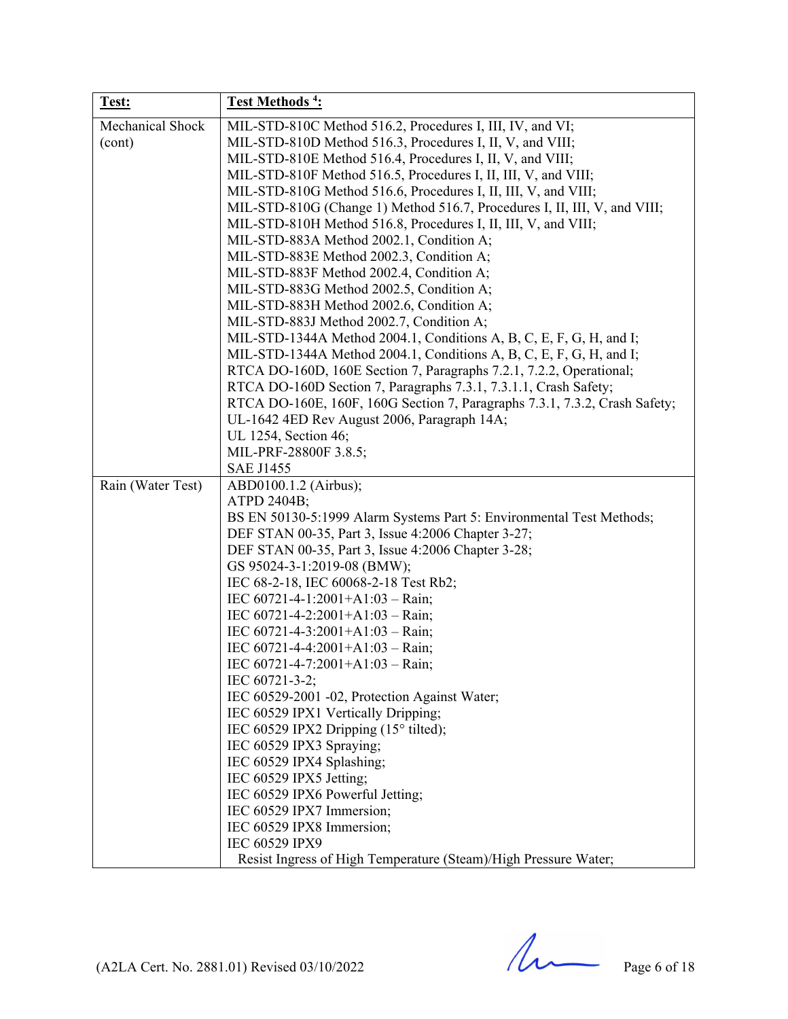| Test:             | <b>Test Methods<sup>4</sup></b> :                                                                                                           |
|-------------------|---------------------------------------------------------------------------------------------------------------------------------------------|
| Mechanical Shock  | MIL-STD-810C Method 516.2, Procedures I, III, IV, and VI;                                                                                   |
| (cont)            | MIL-STD-810D Method 516.3, Procedures I, II, V, and VIII;                                                                                   |
|                   | MIL-STD-810E Method 516.4, Procedures I, II, V, and VIII;                                                                                   |
|                   | MIL-STD-810F Method 516.5, Procedures I, II, III, V, and VIII;                                                                              |
|                   | MIL-STD-810G Method 516.6, Procedures I, II, III, V, and VIII;                                                                              |
|                   | MIL-STD-810G (Change 1) Method 516.7, Procedures I, II, III, V, and VIII;<br>MIL-STD-810H Method 516.8, Procedures I, II, III, V, and VIII; |
|                   | MIL-STD-883A Method 2002.1, Condition A;                                                                                                    |
|                   | MIL-STD-883E Method 2002.3, Condition A;                                                                                                    |
|                   | MIL-STD-883F Method 2002.4, Condition A;                                                                                                    |
|                   | MIL-STD-883G Method 2002.5, Condition A;                                                                                                    |
|                   | MIL-STD-883H Method 2002.6, Condition A;                                                                                                    |
|                   | MIL-STD-883J Method 2002.7, Condition A;                                                                                                    |
|                   | MIL-STD-1344A Method 2004.1, Conditions A, B, C, E, F, G, H, and I;                                                                         |
|                   | MIL-STD-1344A Method 2004.1, Conditions A, B, C, E, F, G, H, and I;                                                                         |
|                   | RTCA DO-160D, 160E Section 7, Paragraphs 7.2.1, 7.2.2, Operational;                                                                         |
|                   | RTCA DO-160D Section 7, Paragraphs 7.3.1, 7.3.1.1, Crash Safety;                                                                            |
|                   | RTCA DO-160E, 160F, 160G Section 7, Paragraphs 7.3.1, 7.3.2, Crash Safety;                                                                  |
|                   | UL-1642 4ED Rev August 2006, Paragraph 14A;                                                                                                 |
|                   | UL 1254, Section 46;<br>MIL-PRF-28800F 3.8.5;                                                                                               |
|                   | <b>SAE J1455</b>                                                                                                                            |
| Rain (Water Test) | ABD0100.1.2 (Airbus);                                                                                                                       |
|                   | ATPD 2404B;                                                                                                                                 |
|                   | BS EN 50130-5:1999 Alarm Systems Part 5: Environmental Test Methods;                                                                        |
|                   | DEF STAN 00-35, Part 3, Issue 4:2006 Chapter 3-27;                                                                                          |
|                   | DEF STAN 00-35, Part 3, Issue 4:2006 Chapter 3-28;                                                                                          |
|                   | GS 95024-3-1:2019-08 (BMW);                                                                                                                 |
|                   | IEC 68-2-18, IEC 60068-2-18 Test Rb2;                                                                                                       |
|                   | IEC $60721 - 4 - 1:2001 + A1:03 - Rain;$                                                                                                    |
|                   | IEC $60721 - 4 - 2:2001 + A1:03 - Rain;$                                                                                                    |
|                   | IEC $60721 - 4 - 3:2001 + A1:03 - Rain;$<br>IEC $60721 - 4 - 4:2001 + A1:03 - Rain;$                                                        |
|                   | IEC 60721-4-7:2001+A1:03 - Rain;                                                                                                            |
|                   | IEC 60721-3-2;                                                                                                                              |
|                   | IEC 60529-2001 -02, Protection Against Water;                                                                                               |
|                   | IEC 60529 IPX1 Vertically Dripping;                                                                                                         |
|                   | IEC 60529 IPX2 Dripping $(15^{\circ}$ tilted);                                                                                              |
|                   | IEC 60529 IPX3 Spraying;                                                                                                                    |
|                   | IEC 60529 IPX4 Splashing;                                                                                                                   |
|                   | IEC 60529 IPX5 Jetting;                                                                                                                     |
|                   | IEC 60529 IPX6 Powerful Jetting;                                                                                                            |
|                   | IEC 60529 IPX7 Immersion;                                                                                                                   |
|                   | IEC 60529 IPX8 Immersion;<br>IEC 60529 IPX9                                                                                                 |
|                   | Resist Ingress of High Temperature (Steam)/High Pressure Water;                                                                             |
|                   |                                                                                                                                             |

(A2LA Cert. No. 2881.01) Revised 03/10/2022 Page 6 of 18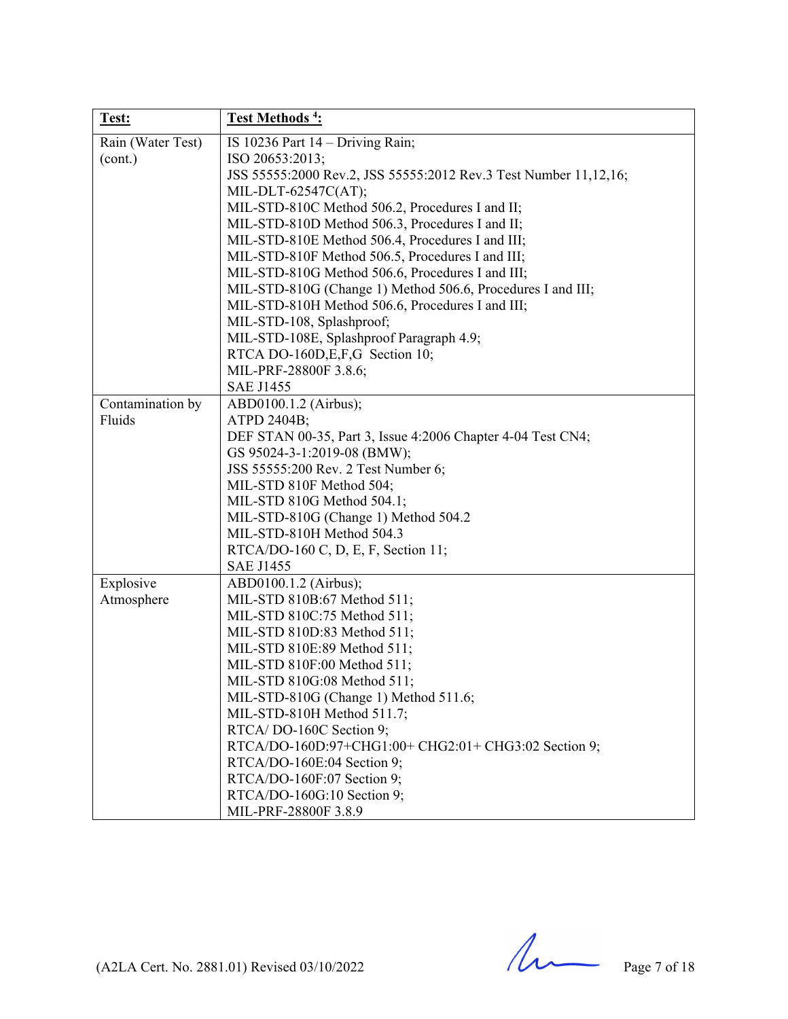| Test:             | Test Methods <sup>4</sup> :                                      |
|-------------------|------------------------------------------------------------------|
| Rain (Water Test) | IS 10236 Part $14 -$ Driving Rain;                               |
| (cont.)           | ISO 20653:2013;                                                  |
|                   | JSS 55555:2000 Rev.2, JSS 55555:2012 Rev.3 Test Number 11,12,16; |
|                   | MIL-DLT-62547C(AT);                                              |
|                   | MIL-STD-810C Method 506.2, Procedures I and II;                  |
|                   | MIL-STD-810D Method 506.3, Procedures I and II;                  |
|                   | MIL-STD-810E Method 506.4, Procedures I and III;                 |
|                   | MIL-STD-810F Method 506.5, Procedures I and III;                 |
|                   | MIL-STD-810G Method 506.6, Procedures I and III;                 |
|                   | MIL-STD-810G (Change 1) Method 506.6, Procedures I and III;      |
|                   | MIL-STD-810H Method 506.6, Procedures I and III;                 |
|                   | MIL-STD-108, Splashproof;                                        |
|                   | MIL-STD-108E, Splashproof Paragraph 4.9;                         |
|                   | RTCA DO-160D, E, F, G Section 10;                                |
|                   | MIL-PRF-28800F 3.8.6;                                            |
|                   | <b>SAE J1455</b>                                                 |
| Contamination by  | ABD0100.1.2 (Airbus);                                            |
| Fluids            | ATPD 2404B;                                                      |
|                   | DEF STAN 00-35, Part 3, Issue 4:2006 Chapter 4-04 Test CN4;      |
|                   | GS 95024-3-1:2019-08 (BMW);                                      |
|                   | JSS 55555:200 Rev. 2 Test Number 6;                              |
|                   | MIL-STD 810F Method 504;                                         |
|                   | MIL-STD 810G Method 504.1;                                       |
|                   | MIL-STD-810G (Change 1) Method 504.2                             |
|                   | MIL-STD-810H Method 504.3                                        |
|                   | RTCA/DO-160 C, D, E, F, Section 11;                              |
|                   | <b>SAE J1455</b>                                                 |
| Explosive         | ABD0100.1.2 (Airbus);                                            |
| Atmosphere        | MIL-STD 810B:67 Method 511;                                      |
|                   | MIL-STD 810C:75 Method 511;                                      |
|                   | MIL-STD 810D:83 Method 511;                                      |
|                   | MIL-STD 810E:89 Method 511;                                      |
|                   | MIL-STD 810F:00 Method 511;                                      |
|                   | MIL-STD 810G:08 Method 511;                                      |
|                   | MIL-STD-810G (Change 1) Method 511.6;                            |
|                   | MIL-STD-810H Method 511.7;                                       |
|                   | RTCA/DO-160C Section 9;                                          |
|                   | RTCA/DO-160D:97+CHG1:00+ CHG2:01+ CHG3:02 Section 9;             |
|                   | RTCA/DO-160E:04 Section 9;                                       |
|                   | RTCA/DO-160F:07 Section 9;                                       |
|                   | RTCA/DO-160G:10 Section 9;                                       |
|                   | MIL-PRF-28800F 3.8.9                                             |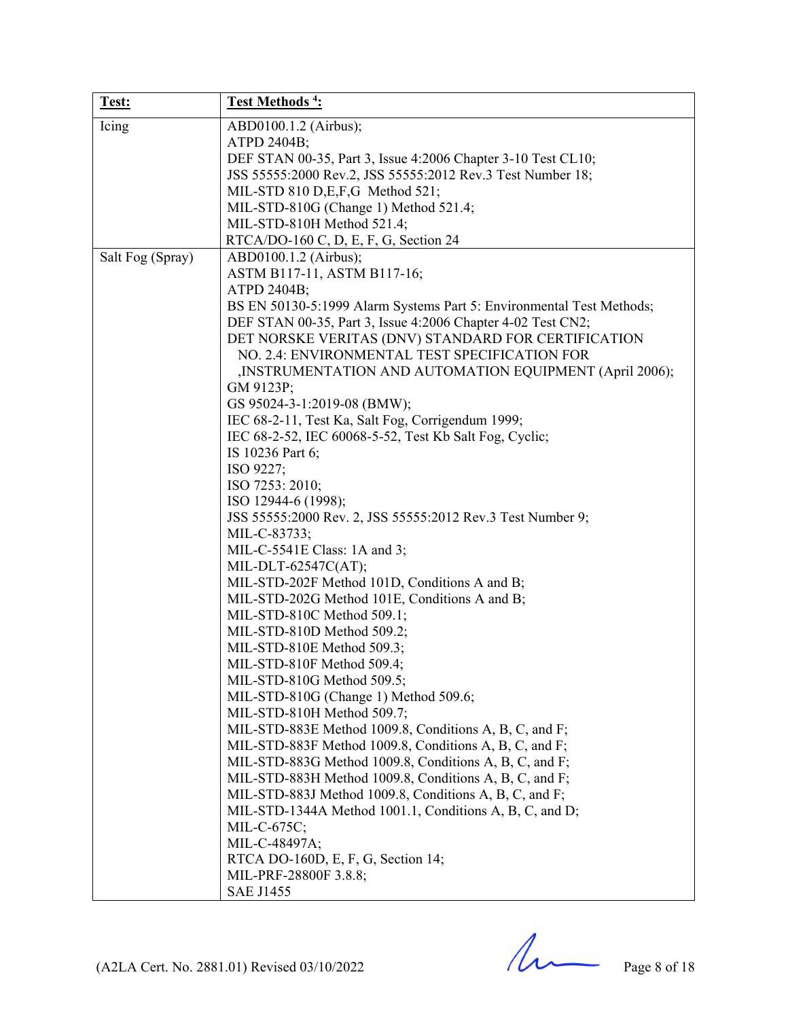| Test:            | Test Methods <sup>4</sup> :                                          |
|------------------|----------------------------------------------------------------------|
| Icing            | ABD0100.1.2 (Airbus);                                                |
|                  | ATPD 2404B;                                                          |
|                  | DEF STAN 00-35, Part 3, Issue 4:2006 Chapter 3-10 Test CL10;         |
|                  | JSS 55555:2000 Rev.2, JSS 55555:2012 Rev.3 Test Number 18;           |
|                  | MIL-STD 810 D,E,F,G Method 521;                                      |
|                  | MIL-STD-810G (Change 1) Method 521.4;                                |
|                  | MIL-STD-810H Method 521.4;                                           |
|                  | RTCA/DO-160 C, D, E, F, G, Section 24                                |
| Salt Fog (Spray) | ABD0100.1.2 (Airbus);                                                |
|                  | ASTM B117-11, ASTM B117-16;                                          |
|                  | ATPD 2404B;                                                          |
|                  | BS EN 50130-5:1999 Alarm Systems Part 5: Environmental Test Methods; |
|                  | DEF STAN 00-35, Part 3, Issue 4:2006 Chapter 4-02 Test CN2;          |
|                  | DET NORSKE VERITAS (DNV) STANDARD FOR CERTIFICATION                  |
|                  | NO. 2.4: ENVIRONMENTAL TEST SPECIFICATION FOR                        |
|                  | ,INSTRUMENTATION AND AUTOMATION EQUIPMENT (April 2006);              |
|                  | GM 9123P;                                                            |
|                  | GS 95024-3-1:2019-08 (BMW);                                          |
|                  | IEC 68-2-11, Test Ka, Salt Fog, Corrigendum 1999;                    |
|                  | IEC 68-2-52, IEC 60068-5-52, Test Kb Salt Fog, Cyclic;               |
|                  | IS 10236 Part 6;                                                     |
|                  | ISO 9227;                                                            |
|                  | ISO 7253: 2010;                                                      |
|                  | ISO 12944-6 (1998);                                                  |
|                  | JSS 55555:2000 Rev. 2, JSS 55555:2012 Rev.3 Test Number 9;           |
|                  | MIL-C-83733;                                                         |
|                  | MIL-C-5541E Class: 1A and 3;                                         |
|                  | MIL-DLT-62547C(AT);                                                  |
|                  | MIL-STD-202F Method 101D, Conditions A and B;                        |
|                  | MIL-STD-202G Method 101E, Conditions A and B;                        |
|                  | MIL-STD-810C Method 509.1;                                           |
|                  | MIL-STD-810D Method 509.2;                                           |
|                  | MIL-STD-810E Method 509.3;                                           |
|                  | MIL-STD-810F Method 509.4;                                           |
|                  | MIL-STD-810G Method 509.5;                                           |
|                  | MIL-STD-810G (Change 1) Method 509.6;                                |
|                  | MIL-STD-810H Method 509.7;                                           |
|                  | MIL-STD-883E Method 1009.8, Conditions A, B, C, and F;               |
|                  | MIL-STD-883F Method 1009.8, Conditions A, B, C, and F;               |
|                  | MIL-STD-883G Method 1009.8, Conditions A, B, C, and F;               |
|                  | MIL-STD-883H Method 1009.8, Conditions A, B, C, and F;               |
|                  | MIL-STD-883J Method 1009.8, Conditions A, B, C, and F;               |
|                  | MIL-STD-1344A Method 1001.1, Conditions A, B, C, and D;              |
|                  | MIL-C-675C;                                                          |
|                  | MIL-C-48497A;                                                        |
|                  | RTCA DO-160D, E, F, G, Section 14;                                   |
|                  | MIL-PRF-28800F 3.8.8;                                                |
|                  | <b>SAE J1455</b>                                                     |

(A2LA Cert. No. 2881.01) Revised 03/10/2022 Page 8 of 18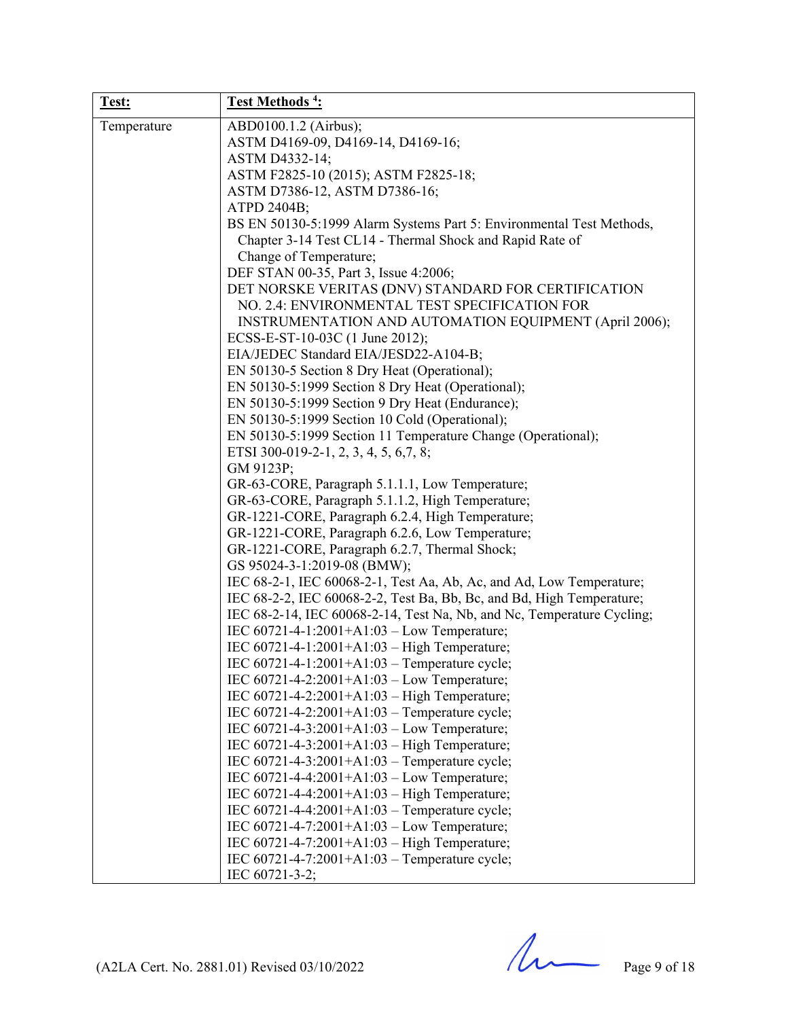| Test:       | <b>Test Methods<sup>4</sup></b> :                                      |
|-------------|------------------------------------------------------------------------|
| Temperature | ABD0100.1.2 (Airbus);                                                  |
|             | ASTM D4169-09, D4169-14, D4169-16;                                     |
|             | ASTM D4332-14;                                                         |
|             | ASTM F2825-10 (2015); ASTM F2825-18;                                   |
|             | ASTM D7386-12, ASTM D7386-16;                                          |
|             | ATPD 2404B;                                                            |
|             | BS EN 50130-5:1999 Alarm Systems Part 5: Environmental Test Methods,   |
|             | Chapter 3-14 Test CL14 - Thermal Shock and Rapid Rate of               |
|             | Change of Temperature;                                                 |
|             | DEF STAN 00-35, Part 3, Issue 4:2006;                                  |
|             | DET NORSKE VERITAS (DNV) STANDARD FOR CERTIFICATION                    |
|             | NO. 2.4: ENVIRONMENTAL TEST SPECIFICATION FOR                          |
|             | INSTRUMENTATION AND AUTOMATION EQUIPMENT (April 2006);                 |
|             | ECSS-E-ST-10-03C (1 June 2012);                                        |
|             | EIA/JEDEC Standard EIA/JESD22-A104-B;                                  |
|             | EN 50130-5 Section 8 Dry Heat (Operational);                           |
|             | EN 50130-5:1999 Section 8 Dry Heat (Operational);                      |
|             | EN 50130-5:1999 Section 9 Dry Heat (Endurance);                        |
|             | EN 50130-5:1999 Section 10 Cold (Operational);                         |
|             | EN 50130-5:1999 Section 11 Temperature Change (Operational);           |
|             | ETSI 300-019-2-1, 2, 3, 4, 5, 6, 7, 8;                                 |
|             | GM 9123P;                                                              |
|             | GR-63-CORE, Paragraph 5.1.1.1, Low Temperature;                        |
|             | GR-63-CORE, Paragraph 5.1.1.2, High Temperature;                       |
|             | GR-1221-CORE, Paragraph 6.2.4, High Temperature;                       |
|             | GR-1221-CORE, Paragraph 6.2.6, Low Temperature;                        |
|             | GR-1221-CORE, Paragraph 6.2.7, Thermal Shock;                          |
|             | GS 95024-3-1:2019-08 (BMW);                                            |
|             | IEC 68-2-1, IEC 60068-2-1, Test Aa, Ab, Ac, and Ad, Low Temperature;   |
|             | IEC 68-2-2, IEC 60068-2-2, Test Ba, Bb, Bc, and Bd, High Temperature;  |
|             | IEC 68-2-14, IEC 60068-2-14, Test Na, Nb, and Nc, Temperature Cycling; |
|             | IEC $60721 - 4 - 1:2001 + A1:03 - Low Temperature;$                    |
|             | IEC 60721-4-1:2001+A1:03 - High Temperature;                           |
|             | IEC 60721-4-1:2001+A1:03 - Temperature cycle;                          |
|             | IEC 60721-4-2:2001+A1:03 - Low Temperature;                            |
|             | IEC 60721-4-2:2001+A1:03 - High Temperature;                           |
|             | IEC $60721 - 4 - 2:2001 + A1:03$ – Temperature cycle;                  |
|             | IEC 60721-4-3:2001+A1:03 - Low Temperature;                            |
|             | IEC 60721-4-3:2001+A1:03 - High Temperature;                           |
|             | IEC $60721 - 4 - 3:2001 + A1:03$ – Temperature cycle;                  |
|             | IEC 60721-4-4:2001+A1:03 - Low Temperature;                            |
|             | IEC 60721-4-4:2001+A1:03 - High Temperature;                           |
|             | IEC 60721-4-4:2001+A1:03 - Temperature cycle;                          |
|             | IEC 60721-4-7:2001+A1:03 - Low Temperature;                            |
|             | IEC 60721-4-7:2001+A1:03 - High Temperature;                           |
|             | IEC 60721-4-7:2001+A1:03 - Temperature cycle;                          |
|             | IEC 60721-3-2;                                                         |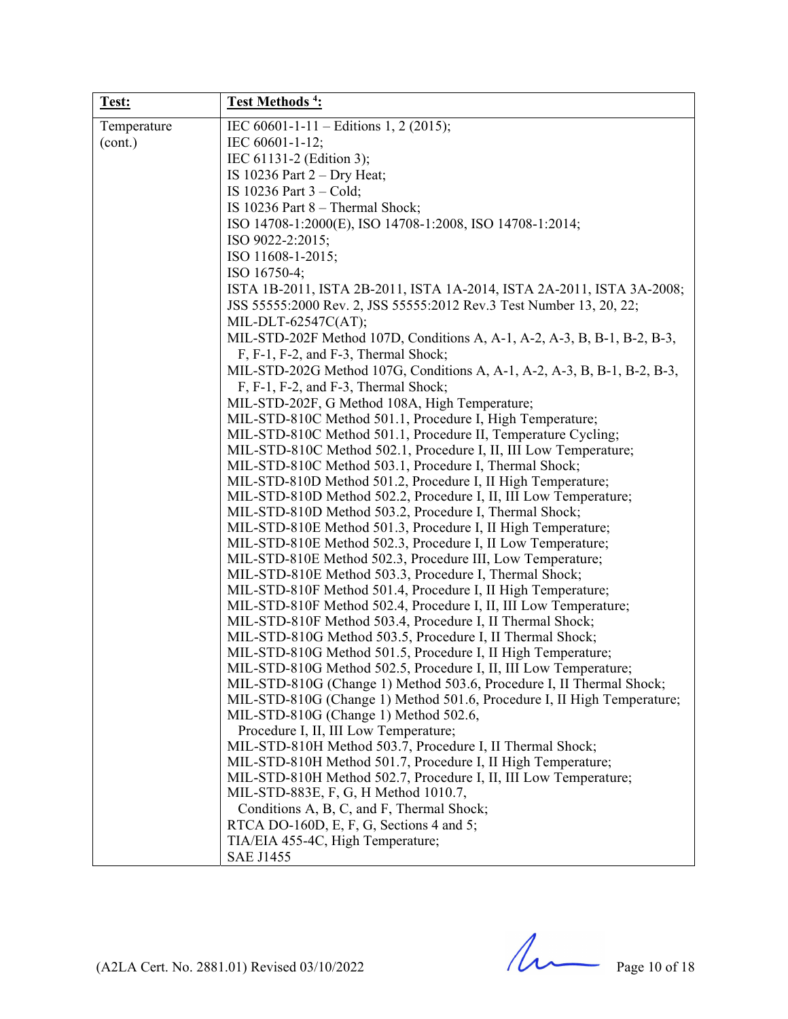| Test:       | Test Methods <sup>4</sup> :                                                                                                |
|-------------|----------------------------------------------------------------------------------------------------------------------------|
| Temperature | IEC 60601-1-11 - Editions 1, 2 (2015);                                                                                     |
| (cont.)     | IEC 60601-1-12;                                                                                                            |
|             | IEC 61131-2 (Edition 3);                                                                                                   |
|             | IS 10236 Part $2 - Dry Heat$ ;                                                                                             |
|             | IS $10236$ Part $3 - Cold$ ;                                                                                               |
|             | IS 10236 Part 8 - Thermal Shock;                                                                                           |
|             | ISO 14708-1:2000(E), ISO 14708-1:2008, ISO 14708-1:2014;                                                                   |
|             | ISO 9022-2:2015;                                                                                                           |
|             | ISO 11608-1-2015;                                                                                                          |
|             | ISO 16750-4;                                                                                                               |
|             | ISTA 1B-2011, ISTA 2B-2011, ISTA 1A-2014, ISTA 2A-2011, ISTA 3A-2008;                                                      |
|             | JSS 55555:2000 Rev. 2, JSS 55555:2012 Rev.3 Test Number 13, 20, 22;                                                        |
|             | MIL-DLT-62547C(AT);                                                                                                        |
|             | MIL-STD-202F Method 107D, Conditions A, A-1, A-2, A-3, B, B-1, B-2, B-3,                                                   |
|             | F, F-1, F-2, and F-3, Thermal Shock;                                                                                       |
|             | MIL-STD-202G Method 107G, Conditions A, A-1, A-2, A-3, B, B-1, B-2, B-3,                                                   |
|             | F, F-1, F-2, and F-3, Thermal Shock;                                                                                       |
|             |                                                                                                                            |
|             | MIL-STD-202F, G Method 108A, High Temperature;                                                                             |
|             | MIL-STD-810C Method 501.1, Procedure I, High Temperature;                                                                  |
|             | MIL-STD-810C Method 501.1, Procedure II, Temperature Cycling;                                                              |
|             | MIL-STD-810C Method 502.1, Procedure I, II, III Low Temperature;<br>MIL-STD-810C Method 503.1, Procedure I, Thermal Shock; |
|             | MIL-STD-810D Method 501.2, Procedure I, II High Temperature;                                                               |
|             | MIL-STD-810D Method 502.2, Procedure I, II, III Low Temperature;                                                           |
|             | MIL-STD-810D Method 503.2, Procedure I, Thermal Shock;                                                                     |
|             | MIL-STD-810E Method 501.3, Procedure I, II High Temperature;                                                               |
|             | MIL-STD-810E Method 502.3, Procedure I, II Low Temperature;                                                                |
|             | MIL-STD-810E Method 502.3, Procedure III, Low Temperature;                                                                 |
|             | MIL-STD-810E Method 503.3, Procedure I, Thermal Shock;                                                                     |
|             | MIL-STD-810F Method 501.4, Procedure I, II High Temperature;                                                               |
|             | MIL-STD-810F Method 502.4, Procedure I, II, III Low Temperature;                                                           |
|             | MIL-STD-810F Method 503.4, Procedure I, II Thermal Shock;                                                                  |
|             | MIL-STD-810G Method 503.5, Procedure I, II Thermal Shock;                                                                  |
|             | MIL-STD-810G Method 501.5, Procedure I, II High Temperature;                                                               |
|             | MIL-STD-810G Method 502.5, Procedure I, II, III Low Temperature;                                                           |
|             | MIL-STD-810G (Change 1) Method 503.6, Procedure I, II Thermal Shock;                                                       |
|             | MIL-STD-810G (Change 1) Method 501.6, Procedure I, II High Temperature;                                                    |
|             | MIL-STD-810G (Change 1) Method 502.6,                                                                                      |
|             | Procedure I, II, III Low Temperature;                                                                                      |
|             | MIL-STD-810H Method 503.7, Procedure I, II Thermal Shock;                                                                  |
|             | MIL-STD-810H Method 501.7, Procedure I, II High Temperature;                                                               |
|             | MIL-STD-810H Method 502.7, Procedure I, II, III Low Temperature;                                                           |
|             | MIL-STD-883E, F, G, H Method 1010.7,                                                                                       |
|             | Conditions A, B, C, and F, Thermal Shock;                                                                                  |
|             | RTCA DO-160D, E, F, G, Sections 4 and 5;                                                                                   |
|             | TIA/EIA 455-4C, High Temperature;                                                                                          |
|             | <b>SAE J1455</b>                                                                                                           |

 $(A2LA$  Cert. No. 2881.01) Revised 03/10/2022 Page 10 of 18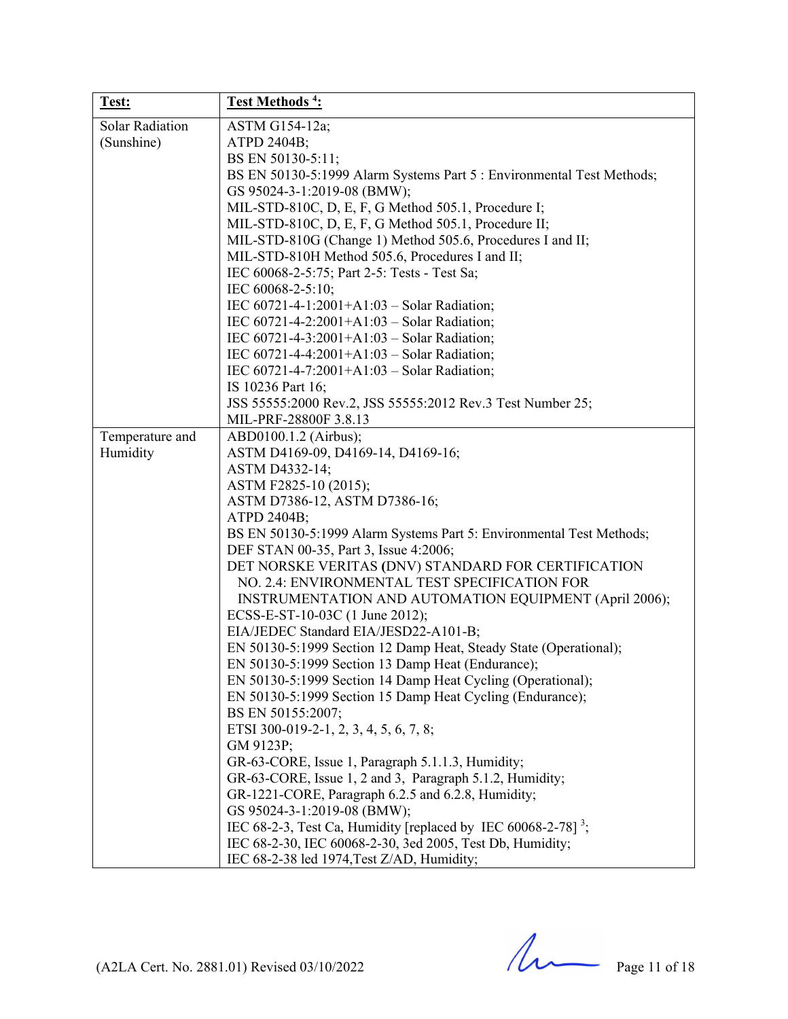| Test:                                | Test Methods <sup>4</sup> :                                                                                                                                                                                                                                                                                                                                                                                                                                                                                                                                                                                                                                                                                                                                                                                                                                                                                                                                                                                                                                                                                                                                                                                                                           |
|--------------------------------------|-------------------------------------------------------------------------------------------------------------------------------------------------------------------------------------------------------------------------------------------------------------------------------------------------------------------------------------------------------------------------------------------------------------------------------------------------------------------------------------------------------------------------------------------------------------------------------------------------------------------------------------------------------------------------------------------------------------------------------------------------------------------------------------------------------------------------------------------------------------------------------------------------------------------------------------------------------------------------------------------------------------------------------------------------------------------------------------------------------------------------------------------------------------------------------------------------------------------------------------------------------|
| <b>Solar Radiation</b><br>(Sunshine) | ASTM G154-12a;<br>ATPD 2404B;<br>BS EN 50130-5:11;<br>BS EN 50130-5:1999 Alarm Systems Part 5 : Environmental Test Methods;<br>GS 95024-3-1:2019-08 (BMW);<br>MIL-STD-810C, D, E, F, G Method 505.1, Procedure I;<br>MIL-STD-810C, D, E, F, G Method 505.1, Procedure II;<br>MIL-STD-810G (Change 1) Method 505.6, Procedures I and II;<br>MIL-STD-810H Method 505.6, Procedures I and II;<br>IEC 60068-2-5:75; Part 2-5: Tests - Test Sa;<br>IEC 60068-2-5:10;<br>IEC 60721-4-1:2001+A1:03 - Solar Radiation;<br>IEC 60721-4-2:2001+A1:03 - Solar Radiation;<br>IEC 60721-4-3:2001+A1:03 - Solar Radiation;<br>IEC 60721-4-4:2001+A1:03 - Solar Radiation;<br>IEC 60721-4-7:2001+A1:03 - Solar Radiation;<br>IS 10236 Part 16;<br>JSS 55555:2000 Rev.2, JSS 55555:2012 Rev.3 Test Number 25;<br>MIL-PRF-28800F 3.8.13                                                                                                                                                                                                                                                                                                                                                                                                                                |
| Temperature and<br>Humidity          | ABD0100.1.2 (Airbus);<br>ASTM D4169-09, D4169-14, D4169-16;<br>ASTM D4332-14;<br>ASTM F2825-10 (2015);<br>ASTM D7386-12, ASTM D7386-16;<br>ATPD 2404B;<br>BS EN 50130-5:1999 Alarm Systems Part 5: Environmental Test Methods;<br>DEF STAN 00-35, Part 3, Issue 4:2006;<br>DET NORSKE VERITAS (DNV) STANDARD FOR CERTIFICATION<br>NO. 2.4: ENVIRONMENTAL TEST SPECIFICATION FOR<br>INSTRUMENTATION AND AUTOMATION EQUIPMENT (April 2006);<br>ECSS-E-ST-10-03C (1 June 2012);<br>EIA/JEDEC Standard EIA/JESD22-A101-B;<br>EN 50130-5:1999 Section 12 Damp Heat, Steady State (Operational);<br>EN 50130-5:1999 Section 13 Damp Heat (Endurance);<br>EN 50130-5:1999 Section 14 Damp Heat Cycling (Operational);<br>EN 50130-5:1999 Section 15 Damp Heat Cycling (Endurance);<br>BS EN 50155:2007;<br>ETSI 300-019-2-1, 2, 3, 4, 5, 6, 7, 8;<br>GM 9123P;<br>GR-63-CORE, Issue 1, Paragraph 5.1.1.3, Humidity;<br>GR-63-CORE, Issue 1, 2 and 3, Paragraph 5.1.2, Humidity;<br>GR-1221-CORE, Paragraph 6.2.5 and 6.2.8, Humidity;<br>GS 95024-3-1:2019-08 (BMW);<br>IEC 68-2-3, Test Ca, Humidity [replaced by IEC 60068-2-78] <sup>3</sup> ;<br>IEC 68-2-30, IEC 60068-2-30, 3ed 2005, Test Db, Humidity;<br>IEC 68-2-38 led 1974, Test Z/AD, Humidity; |

 $(A2LA$  Cert. No. 2881.01) Revised 03/10/2022 Page 11 of 18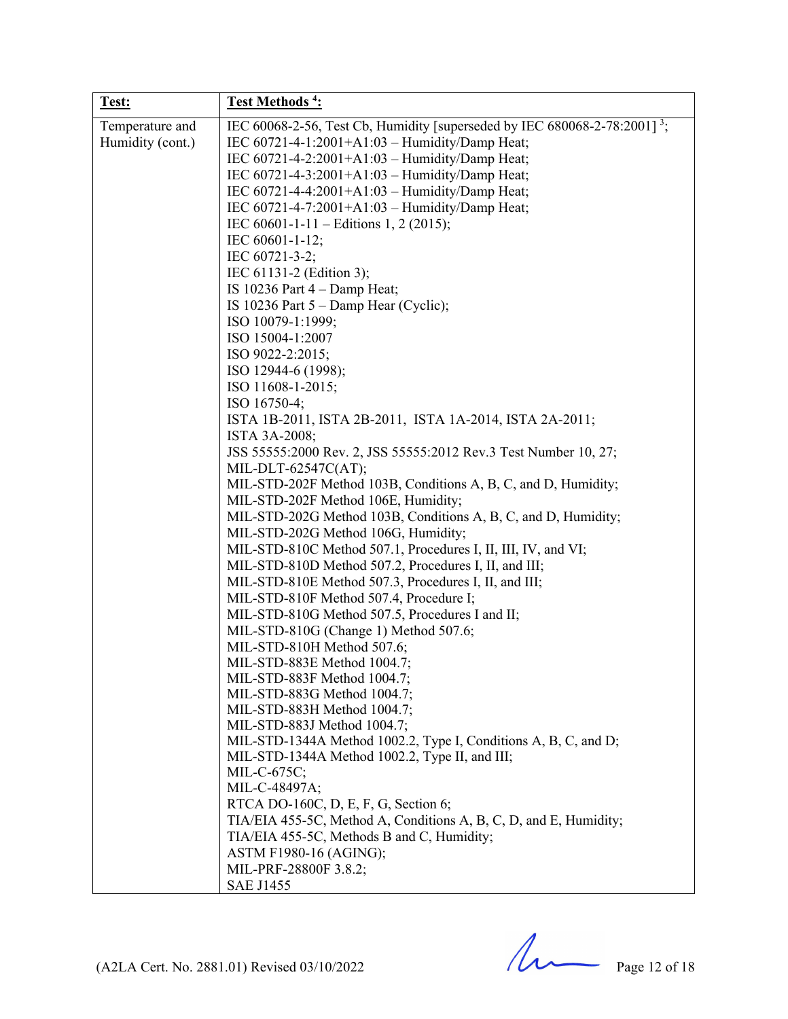| Test:            | Test Methods <sup>4</sup> :                                                           |
|------------------|---------------------------------------------------------------------------------------|
| Temperature and  | IEC 60068-2-56, Test Cb, Humidity [superseded by IEC 680068-2-78:2001] <sup>3</sup> ; |
| Humidity (cont.) | IEC 60721-4-1:2001+A1:03 - Humidity/Damp Heat;                                        |
|                  | IEC 60721-4-2:2001+A1:03 - Humidity/Damp Heat;                                        |
|                  | IEC 60721-4-3:2001+A1:03 - Humidity/Damp Heat;                                        |
|                  | IEC 60721-4-4:2001+A1:03 - Humidity/Damp Heat;                                        |
|                  | IEC 60721-4-7:2001+A1:03 - Humidity/Damp Heat;                                        |
|                  | IEC 60601-1-11 – Editions 1, 2 (2015);                                                |
|                  | IEC 60601-1-12;                                                                       |
|                  | IEC 60721-3-2;                                                                        |
|                  | IEC 61131-2 (Edition 3);                                                              |
|                  | IS 10236 Part $4$ – Damp Heat;                                                        |
|                  | IS 10236 Part $5 -$ Damp Hear (Cyclic);                                               |
|                  | ISO 10079-1:1999;                                                                     |
|                  | ISO 15004-1:2007                                                                      |
|                  | ISO 9022-2:2015;                                                                      |
|                  | ISO 12944-6 (1998);                                                                   |
|                  | ISO 11608-1-2015;                                                                     |
|                  | ISO 16750-4;                                                                          |
|                  |                                                                                       |
|                  | ISTA 1B-2011, ISTA 2B-2011, ISTA 1A-2014, ISTA 2A-2011;                               |
|                  | ISTA 3A-2008;                                                                         |
|                  | JSS 55555:2000 Rev. 2, JSS 55555:2012 Rev.3 Test Number 10, 27;                       |
|                  | MIL-DLT-62547C(AT);                                                                   |
|                  | MIL-STD-202F Method 103B, Conditions A, B, C, and D, Humidity;                        |
|                  | MIL-STD-202F Method 106E, Humidity;                                                   |
|                  | MIL-STD-202G Method 103B, Conditions A, B, C, and D, Humidity;                        |
|                  | MIL-STD-202G Method 106G, Humidity;                                                   |
|                  | MIL-STD-810C Method 507.1, Procedures I, II, III, IV, and VI;                         |
|                  | MIL-STD-810D Method 507.2, Procedures I, II, and III;                                 |
|                  | MIL-STD-810E Method 507.3, Procedures I, II, and III;                                 |
|                  | MIL-STD-810F Method 507.4, Procedure I;                                               |
|                  | MIL-STD-810G Method 507.5, Procedures I and II;                                       |
|                  | MIL-STD-810G (Change 1) Method 507.6;                                                 |
|                  | MIL-STD-810H Method 507.6;                                                            |
|                  | MIL-STD-883E Method 1004.7;                                                           |
|                  | MIL-STD-883F Method 1004.7;                                                           |
|                  | MIL-STD-883G Method 1004.7;                                                           |
|                  | MIL-STD-883H Method 1004.7;                                                           |
|                  | MIL-STD-883J Method 1004.7;                                                           |
|                  | MIL-STD-1344A Method 1002.2, Type I, Conditions A, B, C, and D;                       |
|                  | MIL-STD-1344A Method 1002.2, Type II, and III;                                        |
|                  | MIL-C-675C;                                                                           |
|                  | MIL-C-48497A;                                                                         |
|                  | RTCA DO-160C, D, E, F, G, Section 6;                                                  |
|                  | TIA/EIA 455-5C, Method A, Conditions A, B, C, D, and E, Humidity;                     |
|                  | TIA/EIA 455-5C, Methods B and C, Humidity;                                            |
|                  | ASTM F1980-16 (AGING);                                                                |
|                  | MIL-PRF-28800F 3.8.2;                                                                 |
|                  | <b>SAE J1455</b>                                                                      |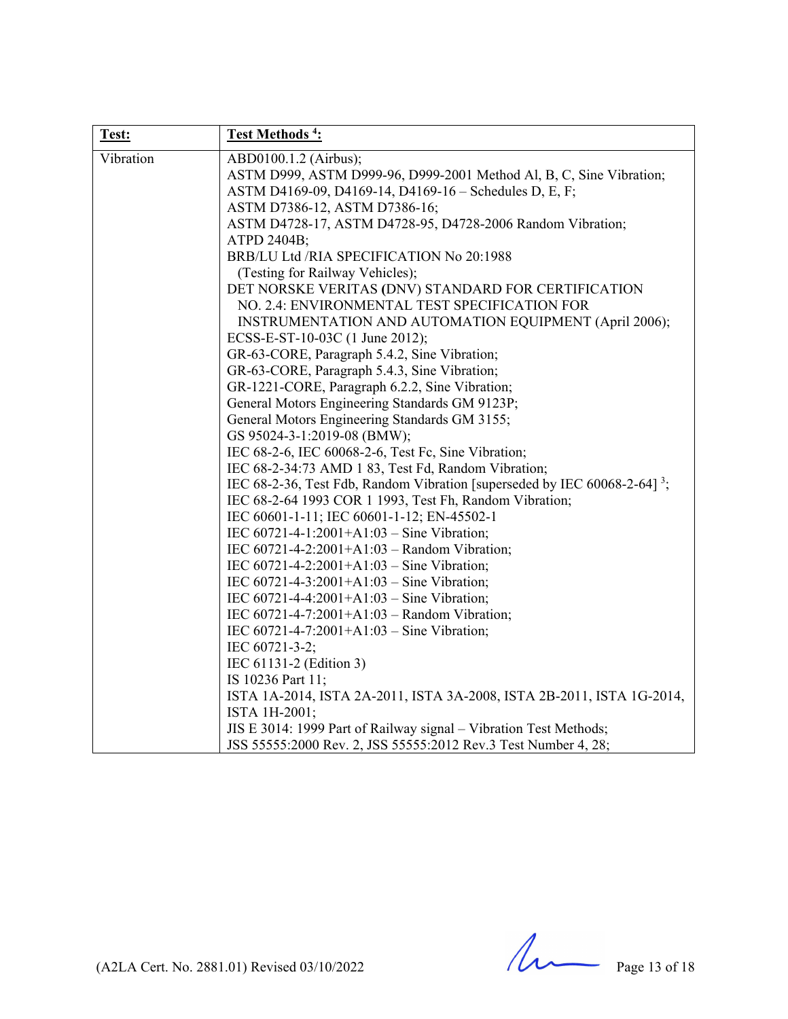| Test:     | Test Methods <sup>4</sup> :                                                           |
|-----------|---------------------------------------------------------------------------------------|
| Vibration | ABD0100.1.2 (Airbus);                                                                 |
|           | ASTM D999, ASTM D999-96, D999-2001 Method Al, B, C, Sine Vibration;                   |
|           | ASTM D4169-09, D4169-14, D4169-16 - Schedules D, E, F;                                |
|           | ASTM D7386-12, ASTM D7386-16;                                                         |
|           | ASTM D4728-17, ASTM D4728-95, D4728-2006 Random Vibration;                            |
|           | ATPD 2404B;                                                                           |
|           | BRB/LU Ltd /RIA SPECIFICATION No 20:1988                                              |
|           | (Testing for Railway Vehicles);                                                       |
|           | DET NORSKE VERITAS (DNV) STANDARD FOR CERTIFICATION                                   |
|           | NO. 2.4: ENVIRONMENTAL TEST SPECIFICATION FOR                                         |
|           | INSTRUMENTATION AND AUTOMATION EQUIPMENT (April 2006);                                |
|           | ECSS-E-ST-10-03C (1 June 2012);                                                       |
|           | GR-63-CORE, Paragraph 5.4.2, Sine Vibration;                                          |
|           | GR-63-CORE, Paragraph 5.4.3, Sine Vibration;                                          |
|           | GR-1221-CORE, Paragraph 6.2.2, Sine Vibration;                                        |
|           | General Motors Engineering Standards GM 9123P;                                        |
|           | General Motors Engineering Standards GM 3155;                                         |
|           | GS 95024-3-1:2019-08 (BMW);                                                           |
|           | IEC 68-2-6, IEC 60068-2-6, Test Fc, Sine Vibration;                                   |
|           | IEC 68-2-34:73 AMD 1 83, Test Fd, Random Vibration;                                   |
|           | IEC 68-2-36, Test Fdb, Random Vibration [superseded by IEC 60068-2-64] <sup>3</sup> ; |
|           | IEC 68-2-64 1993 COR 1 1993, Test Fh, Random Vibration;                               |
|           | IEC 60601-1-11; IEC 60601-1-12; EN-45502-1                                            |
|           | IEC $60721 - 4 - 1:2001 + A1:03 - Sine Vibration;$                                    |
|           | IEC 60721-4-2:2001+A1:03 - Random Vibration;                                          |
|           | IEC 60721-4-2:2001+A1:03 - Sine Vibration;                                            |
|           | IEC 60721-4-3:2001+A1:03 - Sine Vibration;                                            |
|           | IEC 60721-4-4:2001+A1:03 - Sine Vibration;                                            |
|           | IEC 60721-4-7:2001+A1:03 - Random Vibration;                                          |
|           | IEC $60721 - 4 - 7:2001 + A1:03 - Sine Vibration;$                                    |
|           | IEC 60721-3-2;                                                                        |
|           | IEC 61131-2 (Edition 3)                                                               |
|           | IS 10236 Part 11;                                                                     |
|           | ISTA 1A-2014, ISTA 2A-2011, ISTA 3A-2008, ISTA 2B-2011, ISTA 1G-2014,                 |
|           | ISTA 1H-2001;                                                                         |
|           | JIS E 3014: 1999 Part of Railway signal - Vibration Test Methods;                     |
|           | JSS 55555:2000 Rev. 2, JSS 55555:2012 Rev.3 Test Number 4, 28;                        |

 $(A2LA$  Cert. No. 2881.01) Revised 03/10/2022 Page 13 of 18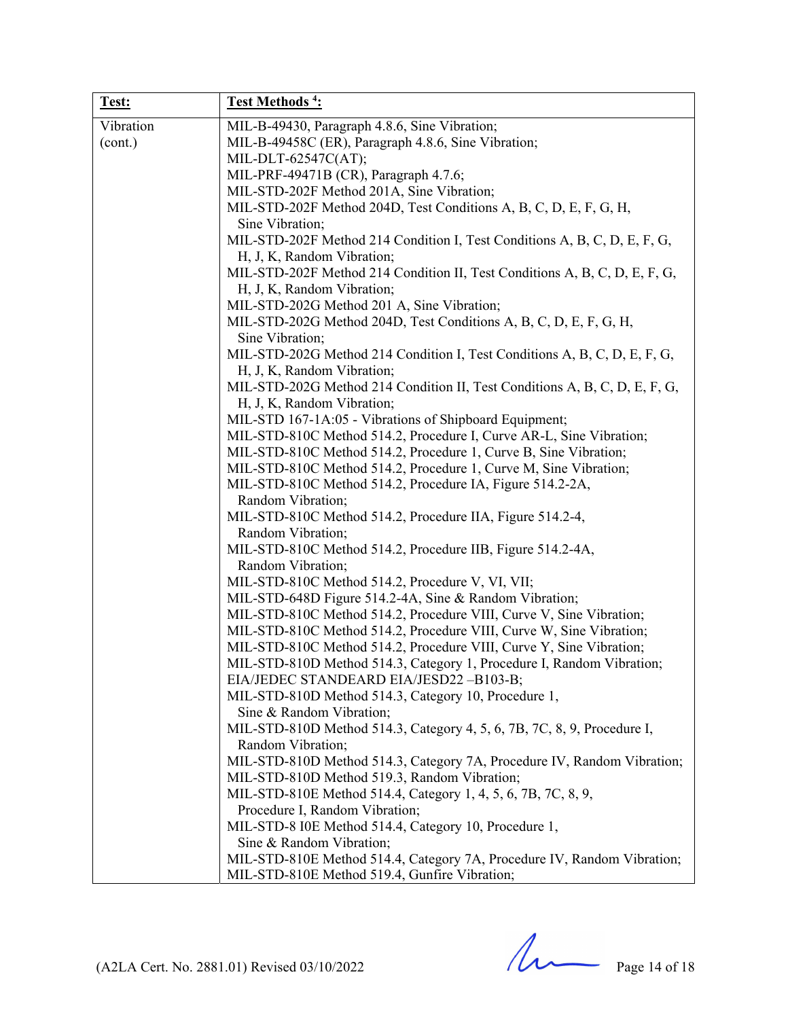| Test:     | Test Methods <sup>4</sup> :                                                                              |
|-----------|----------------------------------------------------------------------------------------------------------|
| Vibration | MIL-B-49430, Paragraph 4.8.6, Sine Vibration;                                                            |
| (cont.)   | MIL-B-49458C (ER), Paragraph 4.8.6, Sine Vibration;                                                      |
|           | MIL-DLT-62547C(AT);                                                                                      |
|           | MIL-PRF-49471B (CR), Paragraph 4.7.6;                                                                    |
|           | MIL-STD-202F Method 201A, Sine Vibration;                                                                |
|           | MIL-STD-202F Method 204D, Test Conditions A, B, C, D, E, F, G, H,                                        |
|           | Sine Vibration;                                                                                          |
|           | MIL-STD-202F Method 214 Condition I, Test Conditions A, B, C, D, E, F, G,                                |
|           | H, J, K, Random Vibration;                                                                               |
|           | MIL-STD-202F Method 214 Condition II, Test Conditions A, B, C, D, E, F, G,                               |
|           | H, J, K, Random Vibration;                                                                               |
|           | MIL-STD-202G Method 201 A, Sine Vibration;                                                               |
|           | MIL-STD-202G Method 204D, Test Conditions A, B, C, D, E, F, G, H,                                        |
|           | Sine Vibration;                                                                                          |
|           | MIL-STD-202G Method 214 Condition I, Test Conditions A, B, C, D, E, F, G,                                |
|           | H, J, K, Random Vibration;<br>MIL-STD-202G Method 214 Condition II, Test Conditions A, B, C, D, E, F, G, |
|           | H, J, K, Random Vibration;                                                                               |
|           | MIL-STD 167-1A:05 - Vibrations of Shipboard Equipment;                                                   |
|           | MIL-STD-810C Method 514.2, Procedure I, Curve AR-L, Sine Vibration;                                      |
|           | MIL-STD-810C Method 514.2, Procedure 1, Curve B, Sine Vibration;                                         |
|           | MIL-STD-810C Method 514.2, Procedure 1, Curve M, Sine Vibration;                                         |
|           | MIL-STD-810C Method 514.2, Procedure IA, Figure 514.2-2A,                                                |
|           | Random Vibration;                                                                                        |
|           | MIL-STD-810C Method 514.2, Procedure IIA, Figure 514.2-4,                                                |
|           | Random Vibration;                                                                                        |
|           | MIL-STD-810C Method 514.2, Procedure IIB, Figure 514.2-4A,                                               |
|           | Random Vibration;                                                                                        |
|           | MIL-STD-810C Method 514.2, Procedure V, VI, VII;                                                         |
|           | MIL-STD-648D Figure 514.2-4A, Sine & Random Vibration;                                                   |
|           | MIL-STD-810C Method 514.2, Procedure VIII, Curve V, Sine Vibration;                                      |
|           | MIL-STD-810C Method 514.2, Procedure VIII, Curve W, Sine Vibration;                                      |
|           | MIL-STD-810C Method 514.2, Procedure VIII, Curve Y, Sine Vibration;                                      |
|           | MIL-STD-810D Method 514.3, Category 1, Procedure I, Random Vibration;                                    |
|           | EIA/JEDEC STANDEARD EIA/JESD22-B103-B;                                                                   |
|           | MIL-STD-810D Method 514.3, Category 10, Procedure 1,                                                     |
|           | Sine & Random Vibration;                                                                                 |
|           | MIL-STD-810D Method 514.3, Category 4, 5, 6, 7B, 7C, 8, 9, Procedure I,                                  |
|           | Random Vibration;                                                                                        |
|           | MIL-STD-810D Method 514.3, Category 7A, Procedure IV, Random Vibration;                                  |
|           | MIL-STD-810D Method 519.3, Random Vibration;                                                             |
|           | MIL-STD-810E Method 514.4, Category 1, 4, 5, 6, 7B, 7C, 8, 9,                                            |
|           | Procedure I, Random Vibration;                                                                           |
|           | MIL-STD-8 I0E Method 514.4, Category 10, Procedure 1,                                                    |
|           | Sine & Random Vibration;                                                                                 |
|           | MIL-STD-810E Method 514.4, Category 7A, Procedure IV, Random Vibration;                                  |
|           | MIL-STD-810E Method 519.4, Gunfire Vibration;                                                            |

 $(A2LA$  Cert. No. 2881.01) Revised 03/10/2022 Page 14 of 18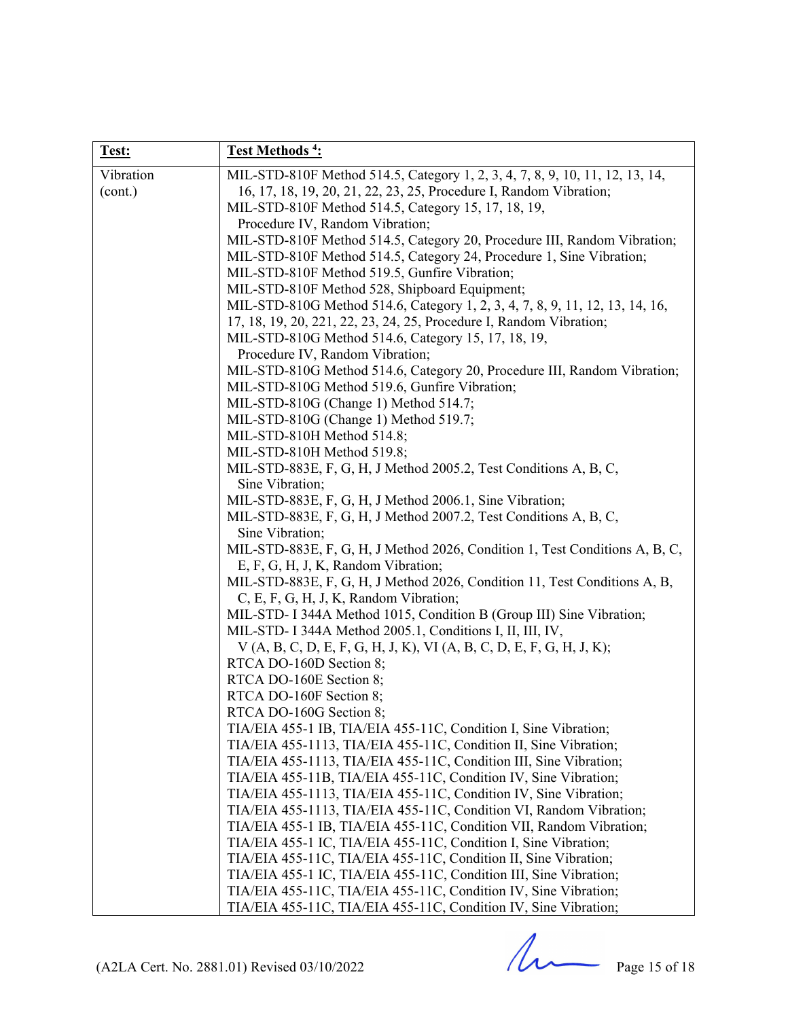| Test:     | Test Methods <sup>4</sup> :                                                                                                                         |
|-----------|-----------------------------------------------------------------------------------------------------------------------------------------------------|
| Vibration | MIL-STD-810F Method 514.5, Category 1, 2, 3, 4, 7, 8, 9, 10, 11, 12, 13, 14,                                                                        |
| (cont.)   | 16, 17, 18, 19, 20, 21, 22, 23, 25, Procedure I, Random Vibration;                                                                                  |
|           | MIL-STD-810F Method 514.5, Category 15, 17, 18, 19,                                                                                                 |
|           | Procedure IV, Random Vibration;                                                                                                                     |
|           | MIL-STD-810F Method 514.5, Category 20, Procedure III, Random Vibration;                                                                            |
|           | MIL-STD-810F Method 514.5, Category 24, Procedure 1, Sine Vibration;                                                                                |
|           | MIL-STD-810F Method 519.5, Gunfire Vibration;                                                                                                       |
|           | MIL-STD-810F Method 528, Shipboard Equipment;                                                                                                       |
|           | MIL-STD-810G Method 514.6, Category 1, 2, 3, 4, 7, 8, 9, 11, 12, 13, 14, 16,<br>17, 18, 19, 20, 221, 22, 23, 24, 25, Procedure I, Random Vibration; |
|           | MIL-STD-810G Method 514.6, Category 15, 17, 18, 19,                                                                                                 |
|           | Procedure IV, Random Vibration;                                                                                                                     |
|           | MIL-STD-810G Method 514.6, Category 20, Procedure III, Random Vibration;                                                                            |
|           | MIL-STD-810G Method 519.6, Gunfire Vibration;                                                                                                       |
|           | MIL-STD-810G (Change 1) Method 514.7;                                                                                                               |
|           | MIL-STD-810G (Change 1) Method 519.7;                                                                                                               |
|           | MIL-STD-810H Method 514.8;                                                                                                                          |
|           | MIL-STD-810H Method 519.8;                                                                                                                          |
|           | MIL-STD-883E, F, G, H, J Method 2005.2, Test Conditions A, B, C,                                                                                    |
|           | Sine Vibration;                                                                                                                                     |
|           | MIL-STD-883E, F, G, H, J Method 2006.1, Sine Vibration;                                                                                             |
|           | MIL-STD-883E, F, G, H, J Method 2007.2, Test Conditions A, B, C,                                                                                    |
|           | Sine Vibration;                                                                                                                                     |
|           | MIL-STD-883E, F, G, H, J Method 2026, Condition 1, Test Conditions A, B, C,                                                                         |
|           | E, F, G, H, J, K, Random Vibration;                                                                                                                 |
|           | MIL-STD-883E, F, G, H, J Method 2026, Condition 11, Test Conditions A, B,<br>C, E, F, G, H, J, K, Random Vibration;                                 |
|           | MIL-STD- I 344A Method 1015, Condition B (Group III) Sine Vibration;                                                                                |
|           | MIL-STD- I 344A Method 2005.1, Conditions I, II, III, IV,                                                                                           |
|           | $V(A, B, C, D, E, F, G, H, J, K), VI (A, B, C, D, E, F, G, H, J, K);$                                                                               |
|           | RTCA DO-160D Section 8;                                                                                                                             |
|           | RTCA DO-160E Section 8;                                                                                                                             |
|           | RTCA DO-160F Section 8;                                                                                                                             |
|           | RTCA DO-160G Section 8;                                                                                                                             |
|           | TIA/EIA 455-1 IB, TIA/EIA 455-11C, Condition I, Sine Vibration;                                                                                     |
|           | TIA/EIA 455-1113, TIA/EIA 455-11C, Condition II, Sine Vibration;                                                                                    |
|           | TIA/EIA 455-1113, TIA/EIA 455-11C, Condition III, Sine Vibration;                                                                                   |
|           | TIA/EIA 455-11B, TIA/EIA 455-11C, Condition IV, Sine Vibration;                                                                                     |
|           | TIA/EIA 455-1113, TIA/EIA 455-11C, Condition IV, Sine Vibration;                                                                                    |
|           | TIA/EIA 455-1113, TIA/EIA 455-11C, Condition VI, Random Vibration;                                                                                  |
|           | TIA/EIA 455-1 IB, TIA/EIA 455-11C, Condition VII, Random Vibration;<br>TIA/EIA 455-1 IC, TIA/EIA 455-11C, Condition I, Sine Vibration;              |
|           | TIA/EIA 455-11C, TIA/EIA 455-11C, Condition II, Sine Vibration;                                                                                     |
|           | TIA/EIA 455-1 IC, TIA/EIA 455-11C, Condition III, Sine Vibration;                                                                                   |
|           | TIA/EIA 455-11C, TIA/EIA 455-11C, Condition IV, Sine Vibration;                                                                                     |
|           | TIA/EIA 455-11C, TIA/EIA 455-11C, Condition IV, Sine Vibration;                                                                                     |

 $(A2LA$  Cert. No. 2881.01) Revised 03/10/2022 Page 15 of 18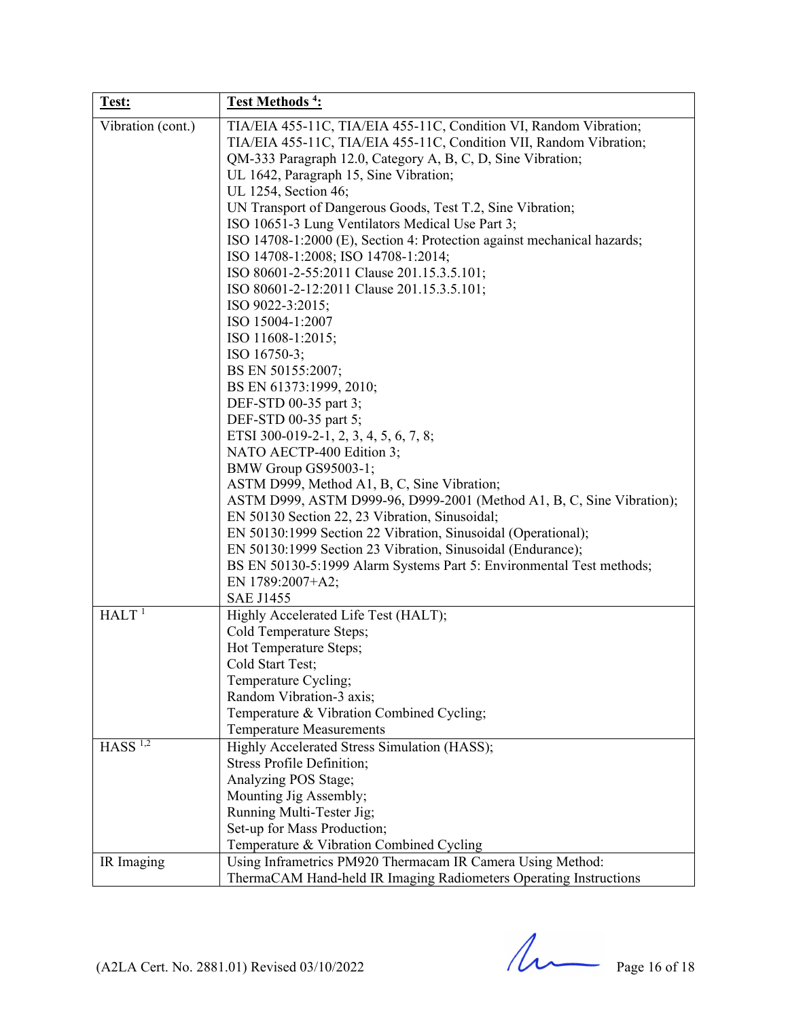| Test:                 | Test Methods <sup>4</sup> :                                                                                                                                                                                                                                                                                                                                                                                                                                                                                                                                                                                                                                                                                                                                                                                                                                                                                                                                                                                                                                                                                                                                                                      |
|-----------------------|--------------------------------------------------------------------------------------------------------------------------------------------------------------------------------------------------------------------------------------------------------------------------------------------------------------------------------------------------------------------------------------------------------------------------------------------------------------------------------------------------------------------------------------------------------------------------------------------------------------------------------------------------------------------------------------------------------------------------------------------------------------------------------------------------------------------------------------------------------------------------------------------------------------------------------------------------------------------------------------------------------------------------------------------------------------------------------------------------------------------------------------------------------------------------------------------------|
| Vibration (cont.)     | TIA/EIA 455-11C, TIA/EIA 455-11C, Condition VI, Random Vibration;<br>TIA/EIA 455-11C, TIA/EIA 455-11C, Condition VII, Random Vibration;<br>QM-333 Paragraph 12.0, Category A, B, C, D, Sine Vibration;<br>UL 1642, Paragraph 15, Sine Vibration;<br>UL 1254, Section 46;<br>UN Transport of Dangerous Goods, Test T.2, Sine Vibration;<br>ISO 10651-3 Lung Ventilators Medical Use Part 3;<br>ISO 14708-1:2000 (E), Section 4: Protection against mechanical hazards;<br>ISO 14708-1:2008; ISO 14708-1:2014;<br>ISO 80601-2-55:2011 Clause 201.15.3.5.101;<br>ISO 80601-2-12:2011 Clause 201.15.3.5.101;<br>ISO 9022-3:2015;<br>ISO 15004-1:2007<br>ISO 11608-1:2015;<br>ISO 16750-3;<br>BS EN 50155:2007;<br>BS EN 61373:1999, 2010;<br>DEF-STD 00-35 part 3;<br>DEF-STD 00-35 part 5;<br>ETSI 300-019-2-1, 2, 3, 4, 5, 6, 7, 8;<br>NATO AECTP-400 Edition 3;<br>BMW Group GS95003-1;<br>ASTM D999, Method A1, B, C, Sine Vibration;<br>ASTM D999, ASTM D999-96, D999-2001 (Method A1, B, C, Sine Vibration);<br>EN 50130 Section 22, 23 Vibration, Sinusoidal;<br>EN 50130:1999 Section 22 Vibration, Sinusoidal (Operational);<br>EN 50130:1999 Section 23 Vibration, Sinusoidal (Endurance); |
|                       | BS EN 50130-5:1999 Alarm Systems Part 5: Environmental Test methods;<br>EN 1789:2007+A2;                                                                                                                                                                                                                                                                                                                                                                                                                                                                                                                                                                                                                                                                                                                                                                                                                                                                                                                                                                                                                                                                                                         |
|                       | <b>SAE J1455</b>                                                                                                                                                                                                                                                                                                                                                                                                                                                                                                                                                                                                                                                                                                                                                                                                                                                                                                                                                                                                                                                                                                                                                                                 |
| HALT <sup>1</sup>     | Highly Accelerated Life Test (HALT);<br>Cold Temperature Steps;<br>Hot Temperature Steps;<br>Cold Start Test;<br>Temperature Cycling;<br>Random Vibration-3 axis;<br>Temperature & Vibration Combined Cycling;<br><b>Temperature Measurements</b>                                                                                                                                                                                                                                                                                                                                                                                                                                                                                                                                                                                                                                                                                                                                                                                                                                                                                                                                                |
| $HASS$ <sup>1,2</sup> | Highly Accelerated Stress Simulation (HASS);<br><b>Stress Profile Definition;</b><br>Analyzing POS Stage;<br>Mounting Jig Assembly;<br>Running Multi-Tester Jig;<br>Set-up for Mass Production;<br>Temperature & Vibration Combined Cycling                                                                                                                                                                                                                                                                                                                                                                                                                                                                                                                                                                                                                                                                                                                                                                                                                                                                                                                                                      |
| IR Imaging            | Using Inframetrics PM920 Thermacam IR Camera Using Method:<br>ThermaCAM Hand-held IR Imaging Radiometers Operating Instructions                                                                                                                                                                                                                                                                                                                                                                                                                                                                                                                                                                                                                                                                                                                                                                                                                                                                                                                                                                                                                                                                  |

 $(A2LA$  Cert. No. 2881.01) Revised 03/10/2022 Page 16 of 18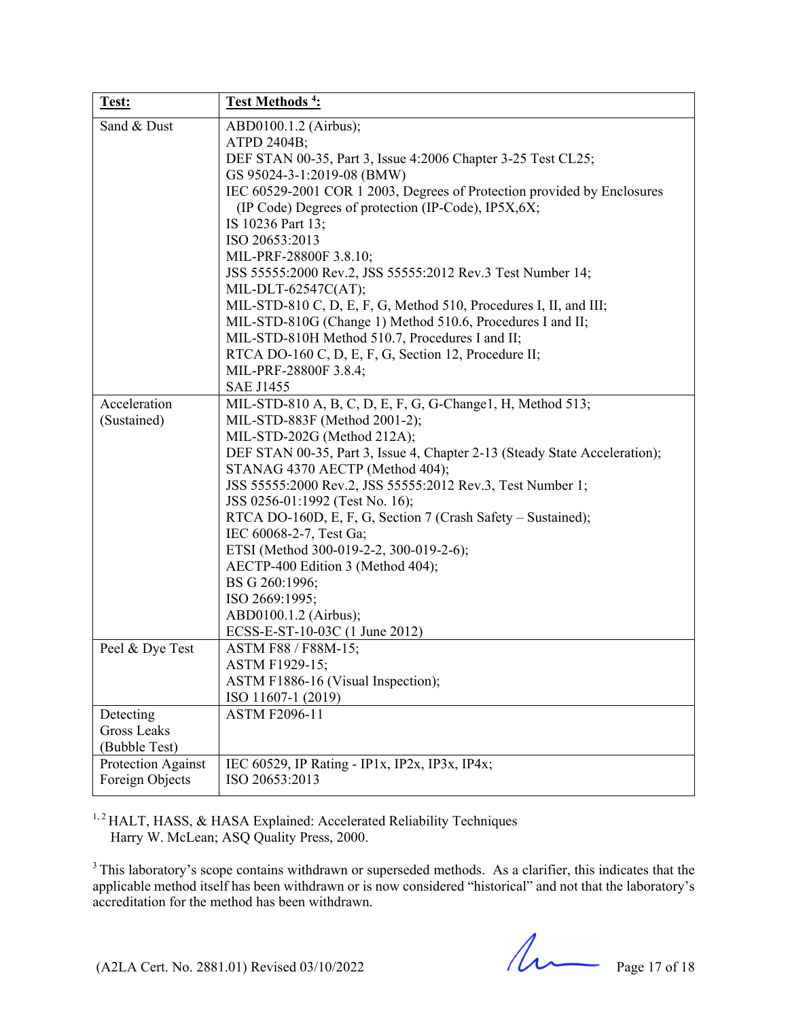| Test:              | Test Methods <sup>4</sup> :                                                                                                    |
|--------------------|--------------------------------------------------------------------------------------------------------------------------------|
| Sand & Dust        | ABD0100.1.2 (Airbus);                                                                                                          |
|                    | ATPD 2404B;                                                                                                                    |
|                    | DEF STAN 00-35, Part 3, Issue 4:2006 Chapter 3-25 Test CL25;                                                                   |
|                    | GS 95024-3-1:2019-08 (BMW)                                                                                                     |
|                    | IEC 60529-2001 COR 1 2003, Degrees of Protection provided by Enclosures<br>(IP Code) Degrees of protection (IP-Code), IP5X,6X; |
|                    | IS 10236 Part 13;                                                                                                              |
|                    | ISO 20653:2013                                                                                                                 |
|                    | MIL-PRF-28800F 3.8.10;                                                                                                         |
|                    | JSS 55555:2000 Rev.2, JSS 55555:2012 Rev.3 Test Number 14;                                                                     |
|                    | MIL-DLT-62547C(AT);                                                                                                            |
|                    | MIL-STD-810 C, D, E, F, G, Method 510, Procedures I, II, and III;                                                              |
|                    | MIL-STD-810G (Change 1) Method 510.6, Procedures I and II;                                                                     |
|                    | MIL-STD-810H Method 510.7, Procedures I and II;                                                                                |
|                    | RTCA DO-160 C, D, E, F, G, Section 12, Procedure II;                                                                           |
|                    | MIL-PRF-28800F 3.8.4;                                                                                                          |
|                    | <b>SAE J1455</b>                                                                                                               |
| Acceleration       | MIL-STD-810 A, B, C, D, E, F, G, G-Change1, H, Method 513;                                                                     |
| (Sustained)        | MIL-STD-883F (Method 2001-2);                                                                                                  |
|                    | MIL-STD-202G (Method 212A);                                                                                                    |
|                    | DEF STAN 00-35, Part 3, Issue 4, Chapter 2-13 (Steady State Acceleration);                                                     |
|                    | STANAG 4370 AECTP (Method 404);                                                                                                |
|                    | JSS 55555:2000 Rev.2, JSS 55555:2012 Rev.3, Test Number 1;                                                                     |
|                    | JSS 0256-01:1992 (Test No. 16);                                                                                                |
|                    | RTCA DO-160D, E, F, G, Section 7 (Crash Safety – Sustained);                                                                   |
|                    | IEC 60068-2-7, Test Ga;                                                                                                        |
|                    | ETSI (Method 300-019-2-2, 300-019-2-6);                                                                                        |
|                    | AECTP-400 Edition 3 (Method 404);                                                                                              |
|                    | BS G 260:1996;<br>ISO 2669:1995;                                                                                               |
|                    | ABD0100.1.2 (Airbus);                                                                                                          |
|                    | ECSS-E-ST-10-03C (1 June 2012)                                                                                                 |
| Peel & Dye Test    | ASTM F88 / F88M-15;                                                                                                            |
|                    | ASTM F1929-15;                                                                                                                 |
|                    | ASTM F1886-16 (Visual Inspection);                                                                                             |
|                    | ISO 11607-1 (2019)                                                                                                             |
| Detecting          | <b>ASTM F2096-11</b>                                                                                                           |
| <b>Gross Leaks</b> |                                                                                                                                |
| (Bubble Test)      |                                                                                                                                |
| Protection Against | IEC 60529, IP Rating - IP1x, IP2x, IP3x, IP4x;                                                                                 |
| Foreign Objects    | ISO 20653:2013                                                                                                                 |

<sup>1, 2</sup> HALT, HASS, & HASA Explained: Accelerated Reliability Techniques Harry W. McLean; ASQ Quality Press, 2000.

<sup>3</sup> This laboratory's scope contains withdrawn or superseded methods. As a clarifier, this indicates that the applicable method itself has been withdrawn or is now considered "historical" and not that the laboratory's accreditation for the method has been withdrawn.

(A2LA Cert. No. 2881.01) Revised 03/10/2022 Page 17 of 18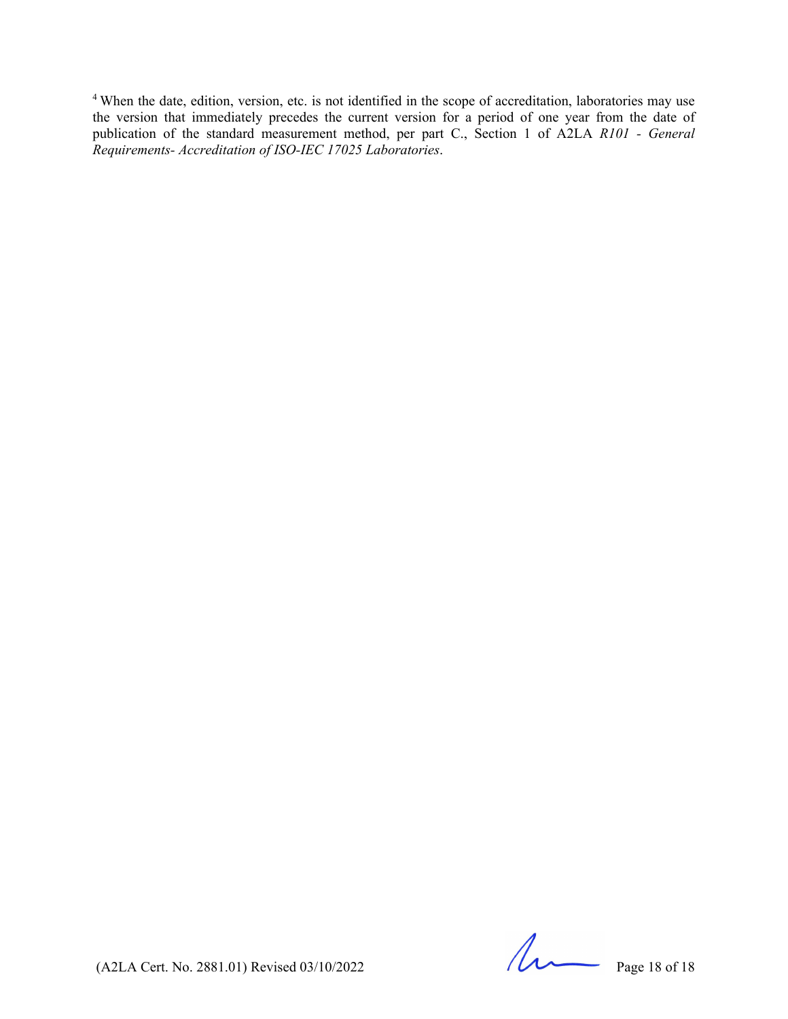<sup>4</sup> When the date, edition, version, etc. is not identified in the scope of accreditation, laboratories may use the version that immediately precedes the current version for a period of one year from the date of publication of the standard measurement method, per part C., Section 1 of A2LA *R101 - General Requirements- Accreditation of ISO-IEC 17025 Laboratories*.

 $(A2LA$  Cert. No. 2881.01) Revised 03/10/2022 Page 18 of 18